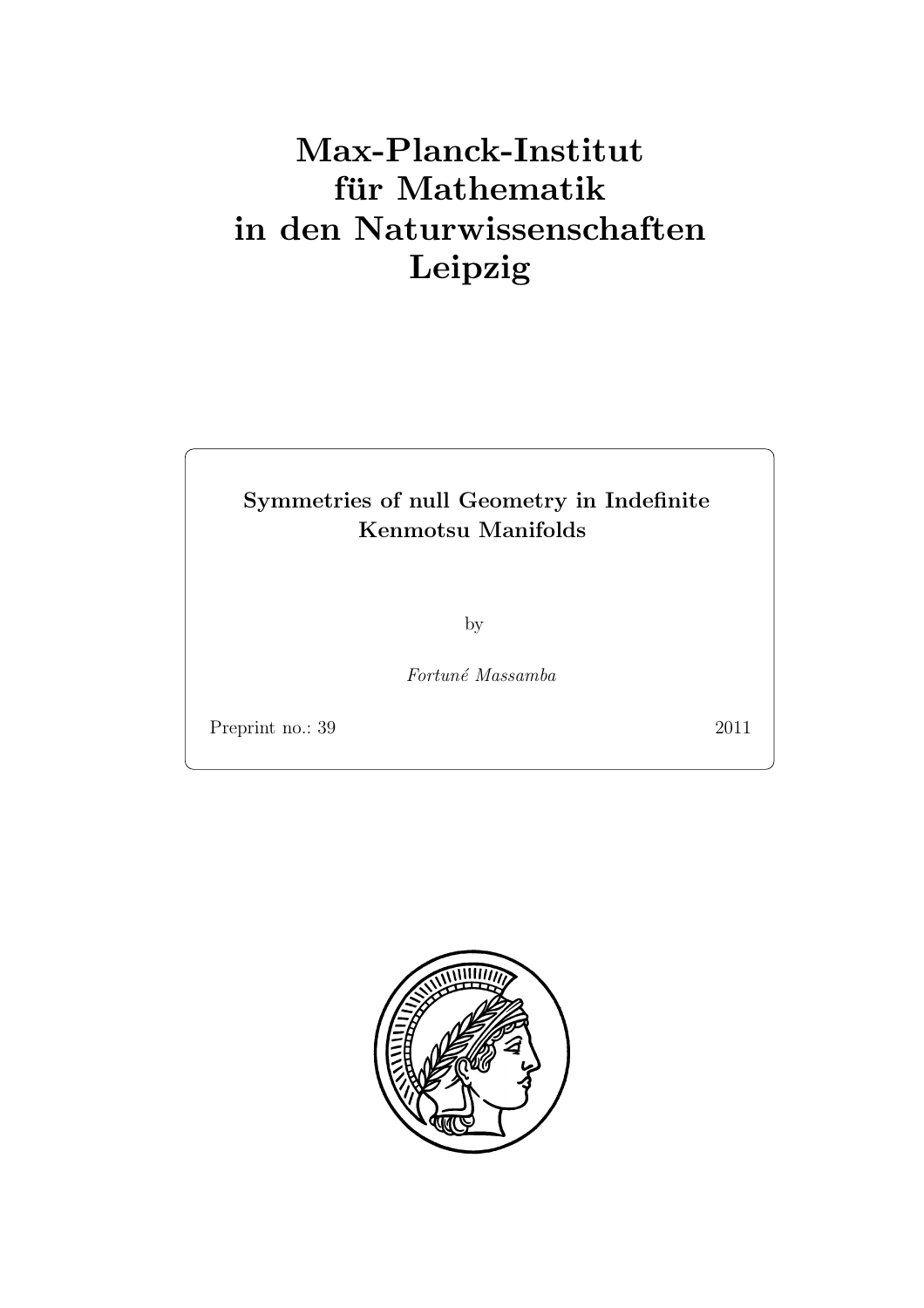# Max-Planck-Institut für Mathematik in den Naturwissenschaften Leipzig

# Symmetries of null Geometry in Indefinite Kenmotsu Manifolds

by

Fortun´e Massamba

Preprint no.: 39 2011

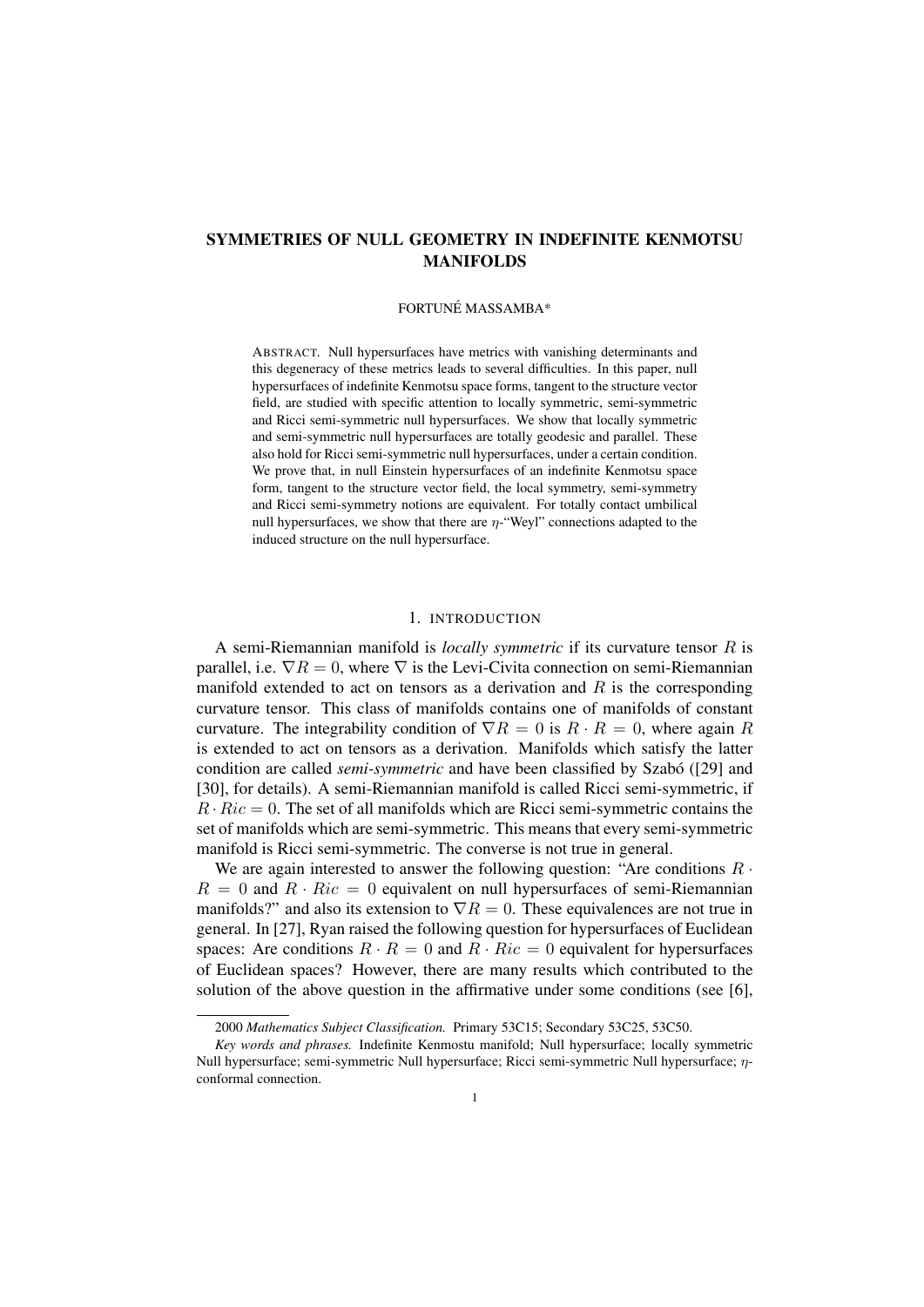# SYMMETRIES OF NULL GEOMETRY IN INDEFINITE KENMOTSU MANIFOLDS

# FORTUNÉ MASSAMBA\*

ABSTRACT. Null hypersurfaces have metrics with vanishing determinants and this degeneracy of these metrics leads to several difficulties. In this paper, null hypersurfaces of indefinite Kenmotsu space forms, tangent to the structure vector field, are studied with specific attention to locally symmetric, semi-symmetric and Ricci semi-symmetric null hypersurfaces. We show that locally symmetric and semi-symmetric null hypersurfaces are totally geodesic and parallel. These also hold for Ricci semi-symmetric null hypersurfaces, under a certain condition. We prove that, in null Einstein hypersurfaces of an indefinite Kenmotsu space form, tangent to the structure vector field, the local symmetry, semi-symmetry and Ricci semi-symmetry notions are equivalent. For totally contact umbilical null hypersurfaces, we show that there are *η*-"Weyl" connections adapted to the induced structure on the null hypersurface.

#### 1. INTRODUCTION

A semi-Riemannian manifold is *locally symmetric* if its curvature tensor *R* is parallel, i.e.  $\nabla R = 0$ , where  $\nabla$  is the Levi-Civita connection on semi-Riemannian manifold extended to act on tensors as a derivation and *R* is the corresponding curvature tensor. This class of manifolds contains one of manifolds of constant curvature. The integrability condition of  $\nabla R = 0$  is  $R \cdot R = 0$ , where again R is extended to act on tensors as a derivation. Manifolds which satisfy the latter condition are called *semi-symmetric* and have been classified by Szabó ([29] and [30], for details). A semi-Riemannian manifold is called Ricci semi-symmetric, if  $R \cdot Ric = 0$ . The set of all manifolds which are Ricci semi-symmetric contains the set of manifolds which are semi-symmetric. This means that every semi-symmetric manifold is Ricci semi-symmetric. The converse is not true in general.

We are again interested to answer the following question: "Are conditions *R ·*  $R = 0$  and  $R \cdot Ric = 0$  equivalent on null hypersurfaces of semi-Riemannian manifolds?" and also its extension to  $\nabla R = 0$ . These equivalences are not true in general. In [27], Ryan raised the following question for hypersurfaces of Euclidean spaces: Are conditions  $R \cdot R = 0$  and  $R \cdot Ric = 0$  equivalent for hypersurfaces of Euclidean spaces? However, there are many results which contributed to the solution of the above question in the affirmative under some conditions (see [6],

<sup>2000</sup> *Mathematics Subject Classification.* Primary 53C15; Secondary 53C25, 53C50.

*Key words and phrases.* Indefinite Kenmostu manifold; Null hypersurface; locally symmetric Null hypersurface; semi-symmetric Null hypersurface; Ricci semi-symmetric Null hypersurface; *η*conformal connection.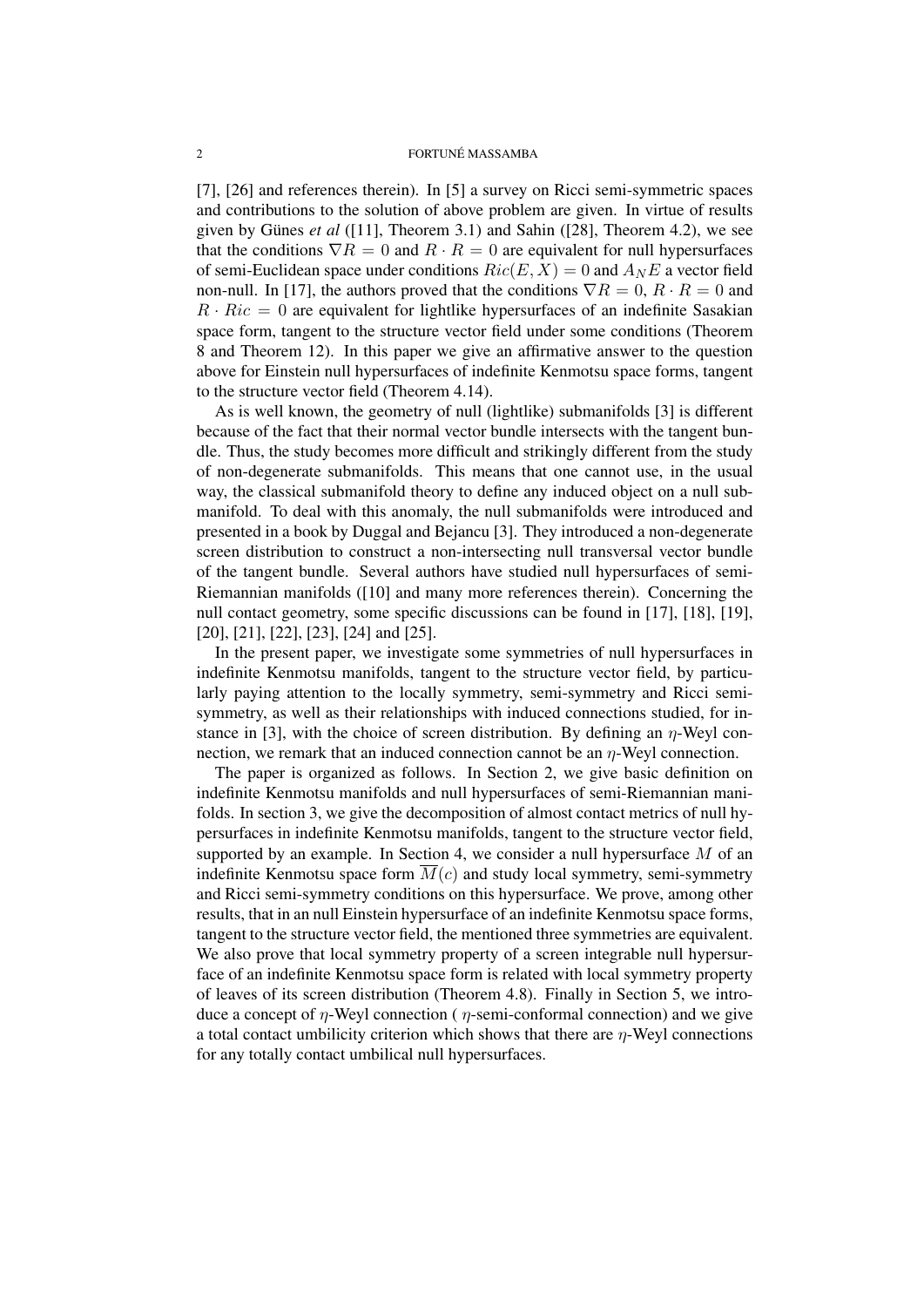[7], [26] and references therein). In [5] a survey on Ricci semi-symmetric spaces and contributions to the solution of above problem are given. In virtue of results given by Günes *et al* ([11], Theorem 3.1) and Sahin ([28], Theorem 4.2), we see that the conditions  $\nabla R = 0$  and  $R \cdot R = 0$  are equivalent for null hypersurfaces of semi-Euclidean space under conditions  $Ric(E, X) = 0$  and  $A_N E$  a vector field non-null. In [17], the authors proved that the conditions  $\nabla R = 0$ ,  $R \cdot R = 0$  and  $R \cdot Ric = 0$  are equivalent for lightlike hypersurfaces of an indefinite Sasakian space form, tangent to the structure vector field under some conditions (Theorem 8 and Theorem 12). In this paper we give an affirmative answer to the question above for Einstein null hypersurfaces of indefinite Kenmotsu space forms, tangent to the structure vector field (Theorem 4.14).

As is well known, the geometry of null (lightlike) submanifolds [3] is different because of the fact that their normal vector bundle intersects with the tangent bundle. Thus, the study becomes more difficult and strikingly different from the study of non-degenerate submanifolds. This means that one cannot use, in the usual way, the classical submanifold theory to define any induced object on a null submanifold. To deal with this anomaly, the null submanifolds were introduced and presented in a book by Duggal and Bejancu [3]. They introduced a non-degenerate screen distribution to construct a non-intersecting null transversal vector bundle of the tangent bundle. Several authors have studied null hypersurfaces of semi-Riemannian manifolds ([10] and many more references therein). Concerning the null contact geometry, some specific discussions can be found in [17], [18], [19], [20], [21], [22], [23], [24] and [25].

In the present paper, we investigate some symmetries of null hypersurfaces in indefinite Kenmotsu manifolds, tangent to the structure vector field, by particularly paying attention to the locally symmetry, semi-symmetry and Ricci semisymmetry, as well as their relationships with induced connections studied, for instance in [3], with the choice of screen distribution. By defining an *η*-Weyl connection, we remark that an induced connection cannot be an *η*-Weyl connection.

The paper is organized as follows. In Section 2, we give basic definition on indefinite Kenmotsu manifolds and null hypersurfaces of semi-Riemannian manifolds. In section 3, we give the decomposition of almost contact metrics of null hypersurfaces in indefinite Kenmotsu manifolds, tangent to the structure vector field, supported by an example. In Section 4, we consider a null hypersurface *M* of an indefinite Kenmotsu space form  $\overline{M}(c)$  and study local symmetry, semi-symmetry and Ricci semi-symmetry conditions on this hypersurface. We prove, among other results, that in an null Einstein hypersurface of an indefinite Kenmotsu space forms, tangent to the structure vector field, the mentioned three symmetries are equivalent. We also prove that local symmetry property of a screen integrable null hypersurface of an indefinite Kenmotsu space form is related with local symmetry property of leaves of its screen distribution (Theorem 4.8). Finally in Section 5, we introduce a concept of *η*-Weyl connection ( *η*-semi-conformal connection) and we give a total contact umbilicity criterion which shows that there are *η*-Weyl connections for any totally contact umbilical null hypersurfaces.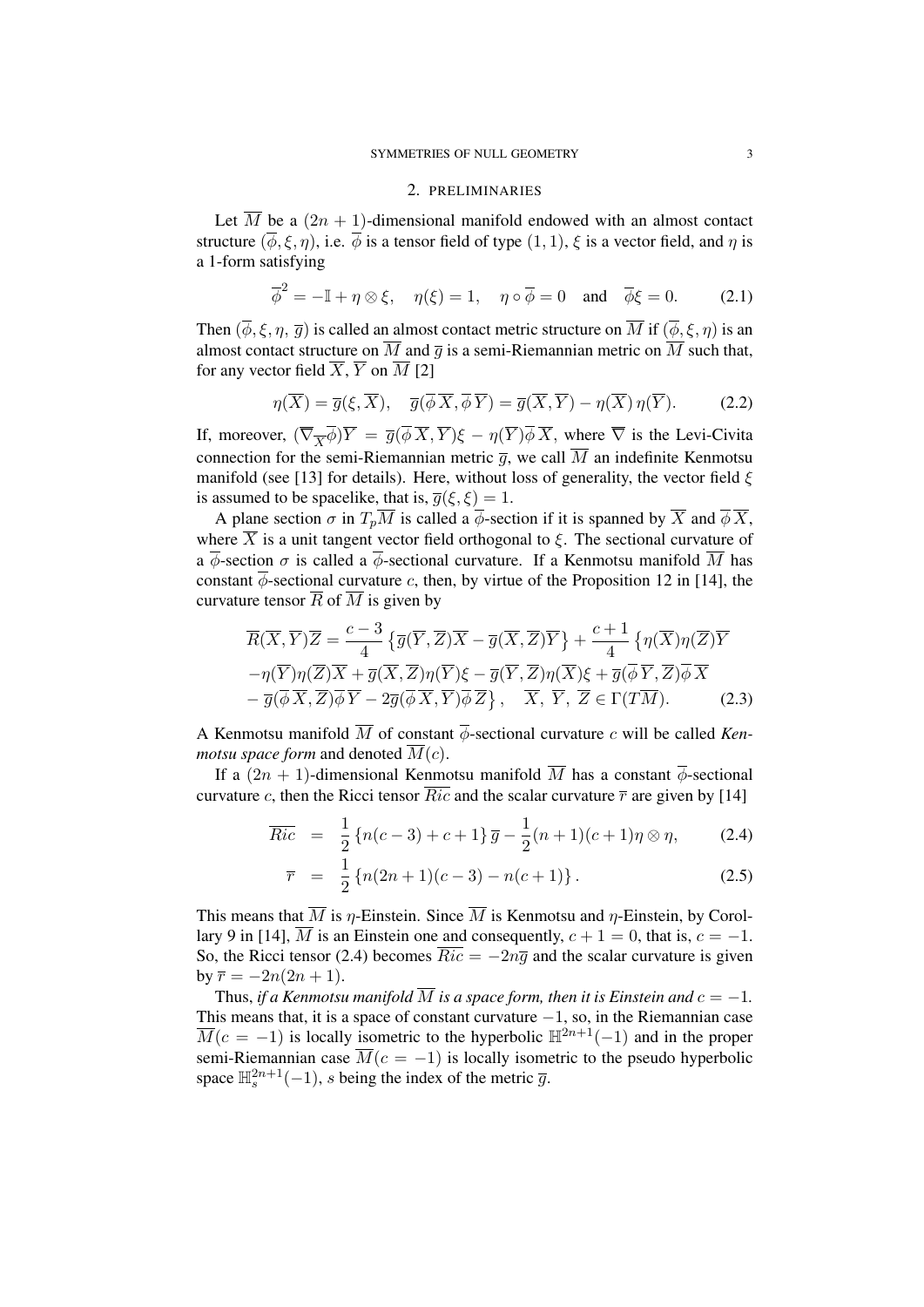#### 2. PRELIMINARIES

Let  $\overline{M}$  be a  $(2n + 1)$ -dimensional manifold endowed with an almost contact structure  $(\overline{\phi}, \xi, \eta)$ , i.e.  $\overline{\phi}$  is a tensor field of type  $(1, 1)$ ,  $\xi$  is a vector field, and  $\eta$  is a 1-form satisfying

$$
\overline{\phi}^2 = -\mathbb{I} + \eta \otimes \xi, \quad \eta(\xi) = 1, \quad \eta \circ \overline{\phi} = 0 \quad \text{and} \quad \overline{\phi}\xi = 0. \tag{2.1}
$$

Then  $(\overline{\phi}, \xi, \eta, \overline{g})$  is called an almost contact metric structure on  $\overline{M}$  if  $(\overline{\phi}, \xi, \eta)$  is an almost contact structure on  $\overline{M}$  and  $\overline{q}$  is a semi-Riemannian metric on  $\overline{M}$  such that, for any vector field  $\overline{X}$ ,  $\overline{Y}$  on  $\overline{M}$  [2]

$$
\eta(\overline{X}) = \overline{g}(\xi, \overline{X}), \quad \overline{g}(\overline{\phi}\,\overline{X}, \overline{\phi}\,\overline{Y}) = \overline{g}(\overline{X}, \overline{Y}) - \eta(\overline{X})\,\eta(\overline{Y}).\tag{2.2}
$$

If, moreover,  $(\overline{\nabla}_{\overline{X}} \overline{\phi})\overline{Y} = \overline{g}(\overline{\phi} \overline{X}, \overline{Y})\xi - \eta(\overline{Y})\overline{\phi} \overline{X}$ , where  $\overline{\nabla}$  is the Levi-Civita connection for the semi-Riemannian metric  $\overline{q}$ , we call  $\overline{M}$  an indefinite Kenmotsu manifold (see [13] for details). Here, without loss of generality, the vector field *ξ* is assumed to be spacelike, that is,  $\overline{g}(\xi, \xi) = 1$ .

A plane section  $\sigma$  in  $T_p\overline{M}$  is called a  $\overline{\phi}$ -section if it is spanned by  $\overline{X}$  and  $\overline{\phi} \overline{X}$ , where  $\overline{X}$  is a unit tangent vector field orthogonal to  $\xi$ . The sectional curvature of a  $\overline{\phi}$ -section  $\sigma$  is called a  $\overline{\phi}$ -sectional curvature. If a Kenmotsu manifold  $\overline{M}$  has constant  $\overline{\phi}$ -sectional curvature *c*, then, by virtue of the Proposition 12 in [14], the curvature tensor  $\overline{R}$  of  $\overline{M}$  is given by

$$
\overline{R}(\overline{X}, \overline{Y})\overline{Z} = \frac{c-3}{4} \{ \overline{g}(\overline{Y}, \overline{Z})\overline{X} - \overline{g}(\overline{X}, \overline{Z})\overline{Y} \} + \frac{c+1}{4} \{ \eta(\overline{X})\eta(\overline{Z})\overline{Y} - \eta(\overline{Y})\eta(\overline{Z})\overline{X} + \overline{g}(\overline{X}, \overline{Z})\eta(\overline{Y})\xi - \overline{g}(\overline{Y}, \overline{Z})\eta(\overline{X})\xi + \overline{g}(\overline{\phi}\overline{Y}, \overline{Z})\overline{\phi}\overline{X} - \overline{g}(\overline{\phi}\overline{X}, \overline{Z})\overline{\phi}\overline{Y} - 2\overline{g}(\overline{\phi}\overline{X}, \overline{Y})\overline{\phi}\overline{Z} \}, \quad \overline{X}, \overline{Y}, \overline{Z} \in \Gamma(T\overline{M}).
$$
\n(2.3)

A Kenmotsu manifold  $\overline{M}$  of constant  $\overline{\phi}$ -sectional curvature *c* will be called *Kenmotsu space form* and denoted  $\overline{M}(c)$ .

If a  $(2n + 1)$ -dimensional Kenmotsu manifold  $\overline{M}$  has a constant  $\overline{\phi}$ -sectional curvature *c*, then the Ricci tensor  $\overline{Ric}$  and the scalar curvature  $\overline{r}$  are given by [14]

$$
\overline{Ric} = \frac{1}{2} \{ n(c-3) + c + 1 \} \overline{g} - \frac{1}{2} (n+1)(c+1)\eta \otimes \eta, \qquad (2.4)
$$

$$
\overline{r} = \frac{1}{2} \{ n(2n+1)(c-3) - n(c+1) \}.
$$
 (2.5)

This means that  $\overline{M}$  is *η*-Einstein. Since  $\overline{M}$  is Kenmotsu and *η*-Einstein, by Corollary 9 in [14],  $\overline{M}$  is an Einstein one and consequently,  $c + 1 = 0$ , that is,  $c = -1$ . So, the Ricci tensor (2.4) becomes  $\overline{Ric} = -2n\overline{g}$  and the scalar curvature is given  $by \bar{r} = -2n(2n+1).$ 

Thus, *if a Kenmotsu manifold*  $\overline{M}$  *is a space form, then it is Einstein and*  $c = -1$ *.* This means that, it is a space of constant curvature *−*1, so, in the Riemannian case  $\overline{M}(c = -1)$  is locally isometric to the hyperbolic  $\mathbb{H}^{2n+1}(-1)$  and in the proper semi-Riemannian case  $\overline{M}(c = -1)$  is locally isometric to the pseudo hyperbolic space  $\mathbb{H}_s^{2n+1}(-1)$ , *s* being the index of the metric  $\overline{g}$ .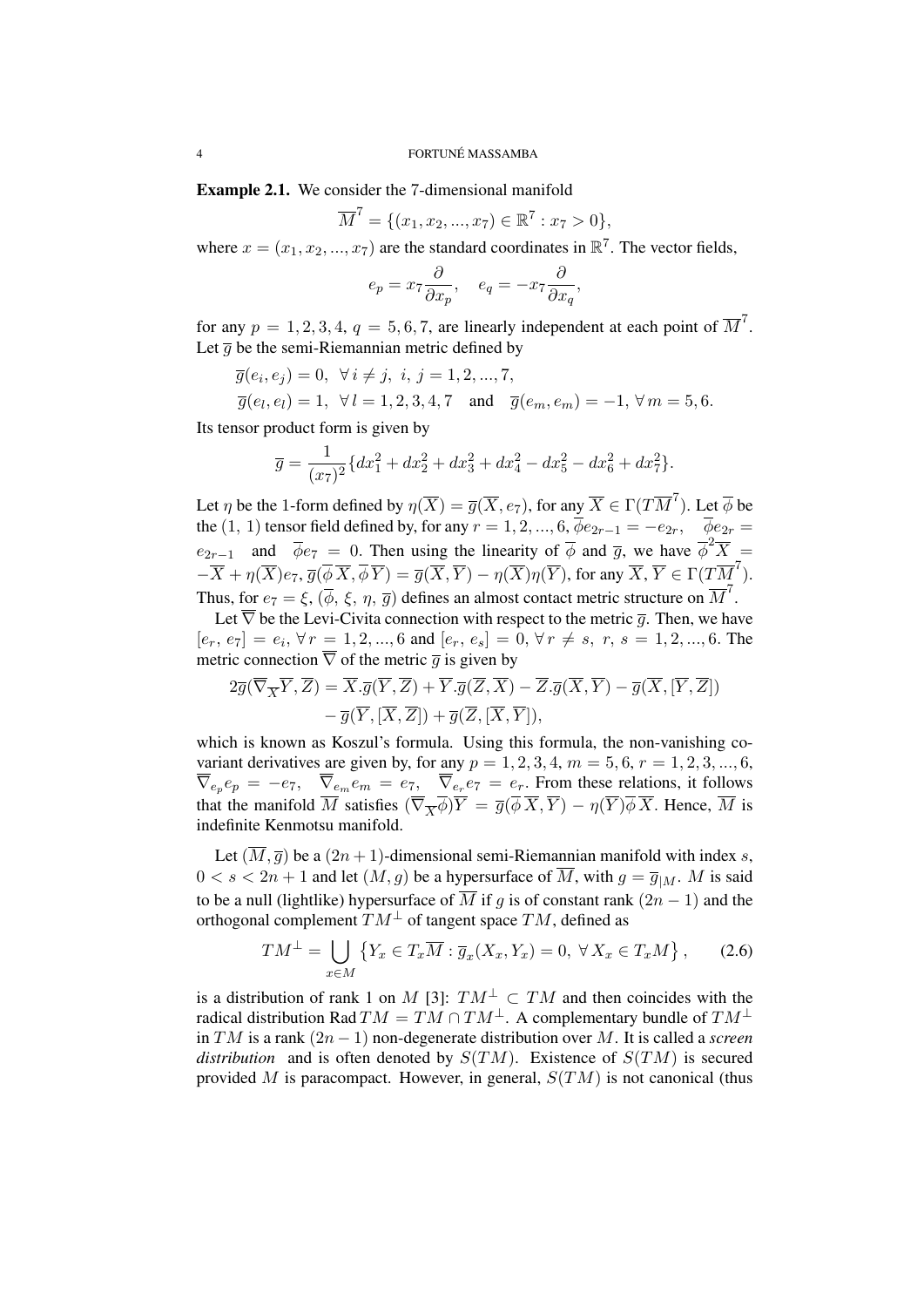Example 2.1. We consider the 7-dimensional manifold

$$
\overline{M}^7 = \{ (x_1, x_2, ..., x_7) \in \mathbb{R}^7 : x_7 > 0 \},
$$

where  $x = (x_1, x_2, ..., x_7)$  are the standard coordinates in  $\mathbb{R}^7$ . The vector fields,

$$
e_p = x_7 \frac{\partial}{\partial x_p}, \quad e_q = -x_7 \frac{\partial}{\partial x_q},
$$

for any  $p = 1, 2, 3, 4, q = 5, 6, 7$ , are linearly independent at each point of  $\overline{M}^7$ . Let  $\overline{q}$  be the semi-Riemannian metric defined by

$$
\overline{g}(e_i, e_j) = 0, \ \forall i \neq j, \ i, j = 1, 2, ..., 7,
$$
  

$$
\overline{g}(e_l, e_l) = 1, \ \forall l = 1, 2, 3, 4, 7 \quad \text{and} \quad \overline{g}(e_m, e_m) = -1, \forall m = 5, 6.
$$

Its tensor product form is given by

$$
\overline{g} = \frac{1}{(x_7)^2} \{ dx_1^2 + dx_2^2 + dx_3^2 + dx_4^2 - dx_5^2 - dx_6^2 + dx_7^2 \}.
$$

Let *η* be the 1-form defined by  $\eta(\overline{X}) = \overline{g}(\overline{X}, e_7)$ , for any  $\overline{X} \in \Gamma(T\overline{M}^7)$ . Let  $\overline{\phi}$  be the (1, 1) tensor field defined by, for any  $r = 1, 2, ..., 6$ ,  $\overline{\phi}e_{2r-1} = -e_{2r}$ ,  $\overline{\phi}e_{2r} =$ *e*<sub>2*r*−1</sub> and  $\overline{\phi}e_7 = 0$ . Then using the linearity of  $\overline{\phi}$  and  $\overline{g}$ , we have  $\overline{\phi}^2\overline{X}$  =  $-\overline{X}+\eta(\overline{X})e_7, \overline{g}(\overline{\phi}\,\overline{X},\overline{\phi}\,\overline{Y})=\overline{g}(\overline{X},\overline{Y})-\eta(\overline{X})\eta(\overline{Y})$ , for any  $\overline{X},\overline{Y}\in\Gamma(T\overline{M}^7)$ . Thus, for  $e_7 = \xi$ ,  $(\overline{\phi}, \xi, \eta, \overline{g})$  defines an almost contact metric structure on  $\overline{M}^7$ .

Let  $\overline{\nabla}$  be the Levi-Civita connection with respect to the metric  $\overline{q}$ . Then, we have  $[e_r, e_7] = e_i, \forall r = 1, 2, ..., 6$  and  $[e_r, e_s] = 0, \forall r \neq s, r, s = 1, 2, ..., 6$ . The metric connection  $\overline{\nabla}$  of the metric  $\overline{q}$  is given by

$$
2\overline{g}(\overline{\nabla}_{\overline{X}}\overline{Y}, \overline{Z}) = \overline{X}.\overline{g}(\overline{Y}, \overline{Z}) + \overline{Y}.\overline{g}(\overline{Z}, \overline{X}) - \overline{Z}.\overline{g}(\overline{X}, \overline{Y}) - \overline{g}(\overline{X}, [\overline{Y}, \overline{Z}]) - \overline{g}(\overline{Y}, [\overline{X}, \overline{Z}]) + \overline{g}(\overline{Z}, [\overline{X}, \overline{Y}]),
$$

which is known as Koszul's formula. Using this formula, the non-vanishing covariant derivatives are given by, for any  $p = 1, 2, 3, 4, m = 5, 6, r = 1, 2, 3, ..., 6$ ,  $\nabla_{e_p} e_p = -e_7$ ,  $\nabla_{e_m} e_m = e_7$ ,  $\nabla_{e_r} e_7 = e_r$ . From these relations, it follows that the manifold *M* satisfies  $(\nabla_{\overline{X}} \phi)Y = \overline{g}(\phi X, Y) - \eta(Y)\phi X$ . Hence, *M* is indefinite Kenmotsu manifold.

Let  $(\overline{M}, \overline{g})$  be a  $(2n + 1)$ -dimensional semi-Riemannian manifold with index *s*,  $0 < s < 2n + 1$  and let  $(M, g)$  be a hypersurface of  $\overline{M}$ , with  $g = \overline{g}_{|M}$ . *M* is said to be a null (lightlike) hypersurface of  $\overline{M}$  if *g* is of constant rank  $(2n - 1)$  and the orthogonal complement  $TM^{\perp}$  of tangent space  $TM$ , defined as

$$
TM^{\perp} = \bigcup_{x \in M} \left\{ Y_x \in T_x \overline{M} : \overline{g}_x(X_x, Y_x) = 0, \ \forall \, X_x \in T_x M \right\}, \tag{2.6}
$$

is a distribution of rank 1 on *M* [3]:  $TM^{\perp} \subset TM$  and then coincides with the radical distribution Rad  $TM = TM \cap TM^{\perp}$ . A complementary bundle of  $TM^{\perp}$ in *TM* is a rank (2*n −* 1) non-degenerate distribution over *M*. It is called a *screen distribution* and is often denoted by  $S(TM)$ . Existence of  $S(TM)$  is secured provided *M* is paracompact. However, in general, *S*(*TM*) is not canonical (thus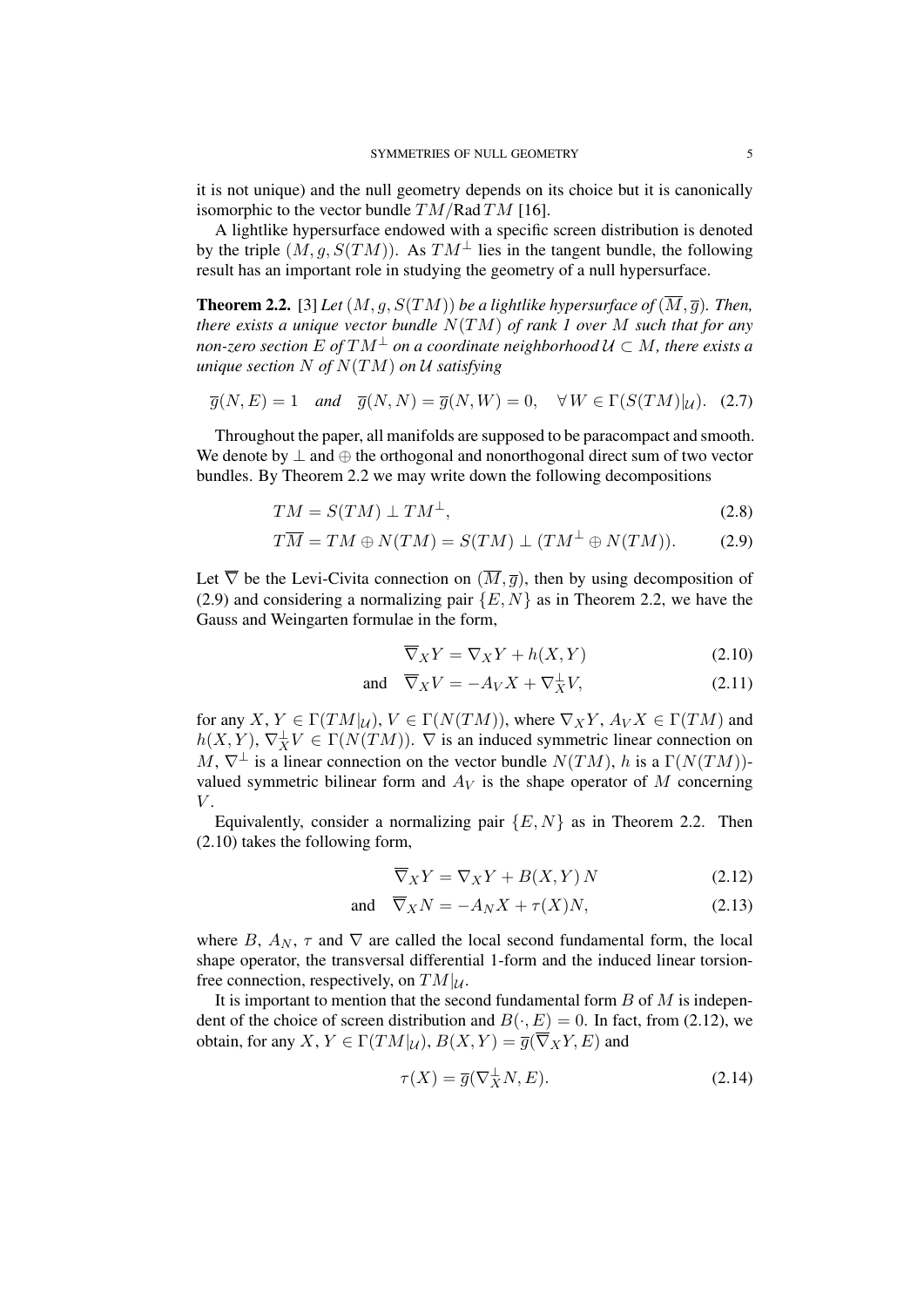it is not unique) and the null geometry depends on its choice but it is canonically isomorphic to the vector bundle *TM/*Rad *TM* [16].

A lightlike hypersurface endowed with a specific screen distribution is denoted by the triple  $(M, q, S(TM))$ . As  $TM^{\perp}$  lies in the tangent bundle, the following result has an important role in studying the geometry of a null hypersurface.

**Theorem 2.2.** [3] *Let*  $(M, g, S(TM))$  *be a lightlike hypersurface of*  $(\overline{M}, \overline{g})$ *. Then, there exists a unique vector bundle N*(*TM*) *of rank 1 over M such that for any non-zero section*  $E$  *of*  $TM^{\perp}$  *on a coordinate neighborhood*  $\mathcal{U} \subset M$ *, there exists a unique section N of N*(*TM*) *on U satisfying*

$$
\overline{g}(N,E) = 1 \quad \text{and} \quad \overline{g}(N,N) = \overline{g}(N,W) = 0, \quad \forall W \in \Gamma(S(TM)|_{\mathcal{U}}). \tag{2.7}
$$

Throughout the paper, all manifolds are supposed to be paracompact and smooth. We denote by *⊥* and *⊕* the orthogonal and nonorthogonal direct sum of two vector bundles. By Theorem 2.2 we may write down the following decompositions

$$
TM = S(TM) \perp TM^{\perp}, \tag{2.8}
$$

$$
T\overline{M} = TM \oplus N(TM) = S(TM) \perp (TM^{\perp} \oplus N(TM)). \tag{2.9}
$$

Let  $\overline{\nabla}$  be the Levi-Civita connection on  $(\overline{M}, \overline{g})$ , then by using decomposition of (2.9) and considering a normalizing pair *{E, N}* as in Theorem 2.2, we have the Gauss and Weingarten formulae in the form,

$$
\overline{\nabla}_X Y = \nabla_X Y + h(X, Y) \tag{2.10}
$$

and 
$$
\overline{\nabla}_X V = -A_V X + \nabla_X^{\perp} V,
$$
 (2.11)

for any  $X, Y \in \Gamma(TM|_{\mathcal{U}})$ ,  $V \in \Gamma(N(TM))$ , where  $\nabla_X Y, A_V X \in \Gamma(TM)$  and  $h(X, Y)$ ,  $\nabla_X^{\perp} V \in \Gamma(N(TM))$ .  $\nabla$  is an induced symmetric linear connection on *M*,  $\nabla^{\perp}$  is a linear connection on the vector bundle *N*(*TM*), *h* is a Γ(*N*(*TM*))valued symmetric bilinear form and  $A_V$  is the shape operator of  $M$  concerning *V* .

Equivalently, consider a normalizing pair  ${E, N}$  as in Theorem 2.2. Then (2.10) takes the following form,

$$
\overline{\nabla}_X Y = \nabla_X Y + B(X, Y) N \tag{2.12}
$$

and 
$$
\overline{\nabla}_X N = -A_N X + \tau(X)N,
$$
 (2.13)

where *B*,  $A_N$ ,  $\tau$  and  $\nabla$  are called the local second fundamental form, the local shape operator, the transversal differential 1-form and the induced linear torsionfree connection, respectively, on  $TM|_{\mathcal{U}}$ .

It is important to mention that the second fundamental form *B* of *M* is independent of the choice of screen distribution and  $B(\cdot, E) = 0$ . In fact, from (2.12), we obtain, for any *X*,  $Y \in \Gamma(TM|\mathcal{U})$ ,  $B(X, Y) = \overline{g}(\overline{\nabla}_X Y, E)$  and

$$
\tau(X) = \overline{g}(\nabla_X^{\perp} N, E). \tag{2.14}
$$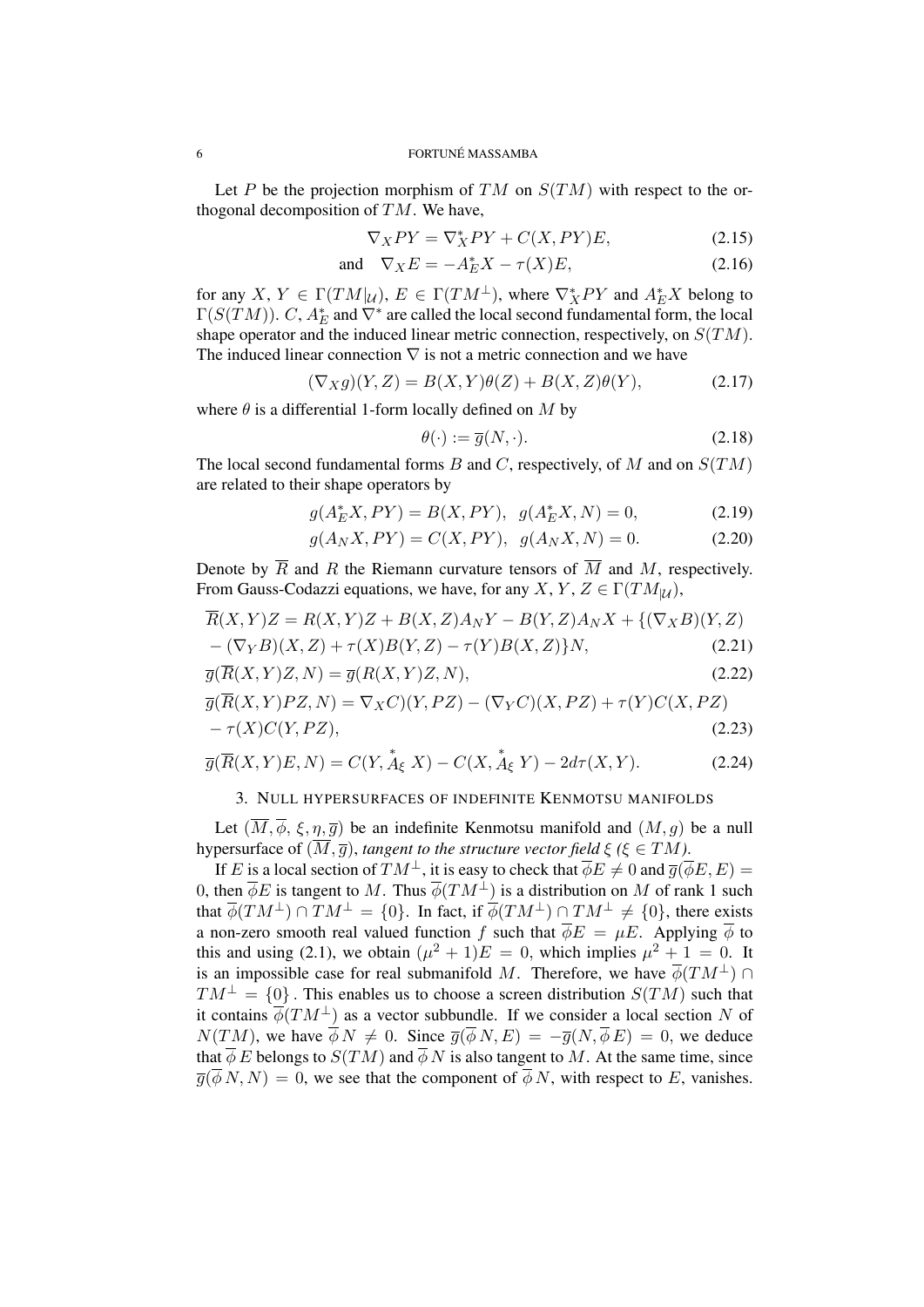Let *P* be the projection morphism of *TM* on *S*(*TM*) with respect to the orthogonal decomposition of *TM*. We have,

$$
\nabla_X PY = \nabla_X^* PY + C(X, PY)E,\tag{2.15}
$$

and 
$$
\nabla_X E = -A_E^* X - \tau(X) E, \qquad (2.16)
$$

for any  $X, Y \in \Gamma(TM|\mu)$ ,  $E \in \Gamma(TM^{\perp})$ , where  $\nabla_X^* PY$  and  $A_E^* X$  belong to  $\Gamma(S(TM))$ . *C*,  $A_E^*$  and  $\nabla^*$  are called the local second fundamental form, the local shape operator and the induced linear metric connection, respectively, on *S*(*TM*). The induced linear connection *∇* is not a metric connection and we have

$$
(\nabla_X g)(Y,Z) = B(X,Y)\theta(Z) + B(X,Z)\theta(Y),\tag{2.17}
$$

where  $\theta$  is a differential 1-form locally defined on *M* by

$$
\theta(\cdot) := \overline{g}(N, \cdot). \tag{2.18}
$$

The local second fundamental forms *B* and *C*, respectively, of *M* and on *S*(*TM*) are related to their shape operators by

$$
g(A_E^* X, PY) = B(X, PY), \ g(A_E^* X, N) = 0,
$$
\n(2.19)

$$
g(A_N X, PY) = C(X, PY), g(A_N X, N) = 0.
$$
 (2.20)

Denote by  $\overline{R}$  and  $R$  the Riemann curvature tensors of  $\overline{M}$  and  $M$ , respectively. From Gauss-Codazzi equations, we have, for any *X*, *Y*, *Z*  $\in \Gamma(TM_{\vert U})$ ,

$$
R(X,Y)Z = R(X,Y)Z + B(X,Z)A_NY - B(Y,Z)A_NX + \{(\nabla_X B)(Y,Z) - (\nabla_Y B)(X,Z) + \tau(X)B(Y,Z) - \tau(Y)B(X,Z)\}N, \tag{2.21}
$$

$$
\overline{g}(\overline{R}(X,Y)Z,N) = \overline{g}(R(X,Y)Z,N),
$$
\n(2.22)

$$
\overline{g}(\overline{R}(X,Y)PZ,N) = \nabla_X C)(Y,PZ) - (\nabla_Y C)(X,PZ) + \tau(Y)C(X,PZ) \n- \tau(X)C(Y,PZ),
$$
\n(2.23)

$$
\overline{g}(\overline{R}(X,Y)E,N) = C(Y, \stackrel{*}{A}_{\xi} X) - C(X, \stackrel{*}{A}_{\xi} Y) - 2d\tau(X,Y). \tag{2.24}
$$

## 3. NULL HYPERSURFACES OF INDEFINITE KENMOTSU MANIFOLDS

Let  $(\overline{M}, \overline{\phi}, \xi, \eta, \overline{g})$  be an indefinite Kenmotsu manifold and  $(M, g)$  be a null hypersurface of  $(\overline{M}, \overline{g})$ , *tangent to the structure vector field*  $\xi$  ( $\xi \in TM$ ).

If *E* is a local section of  $TM^{\perp}$ , it is easy to check that  $\overline{\phi}E \neq 0$  and  $\overline{g}(\overline{\phi}E, E)$  = 0, then  $\overline{\phi}E$  is tangent to M. Thus  $\overline{\phi}(TM^{\perp})$  is a distribution on M of rank 1 such that  $\overline{\phi}(TM^{\perp}) \cap TM^{\perp} = \{0\}$ . In fact, if  $\overline{\phi}(TM^{\perp}) \cap TM^{\perp} \neq \{0\}$ , there exists a non-zero smooth real valued function *f* such that  $\overline{\phi}E = \mu E$ . Applying  $\overline{\phi}$  to this and using (2.1), we obtain  $(\mu^2 + 1)E = 0$ , which implies  $\mu^2 + 1 = 0$ . It is an impossible case for real submanifold *M*. Therefore, we have  $\phi(TM^{\perp}) \cap$  $TM^{\perp} = \{0\}$ . This enables us to choose a screen distribution  $S(TM)$  such that it contains  $\phi(TM^{\perp})$  as a vector subbundle. If we consider a local section *N* of  $N(TM)$ , we have  $\overline{\phi} N \neq 0$ . Since  $\overline{g}(\overline{\phi} N, E) = -\overline{g}(N, \overline{\phi} E) = 0$ , we deduce that  $\overline{\phi} E$  belongs to  $S(TM)$  and  $\overline{\phi} N$  is also tangent to M. At the same time, since  $\overline{g}(\overline{\phi} N, N) = 0$ , we see that the component of  $\overline{\phi} N$ , with respect to *E*, vanishes.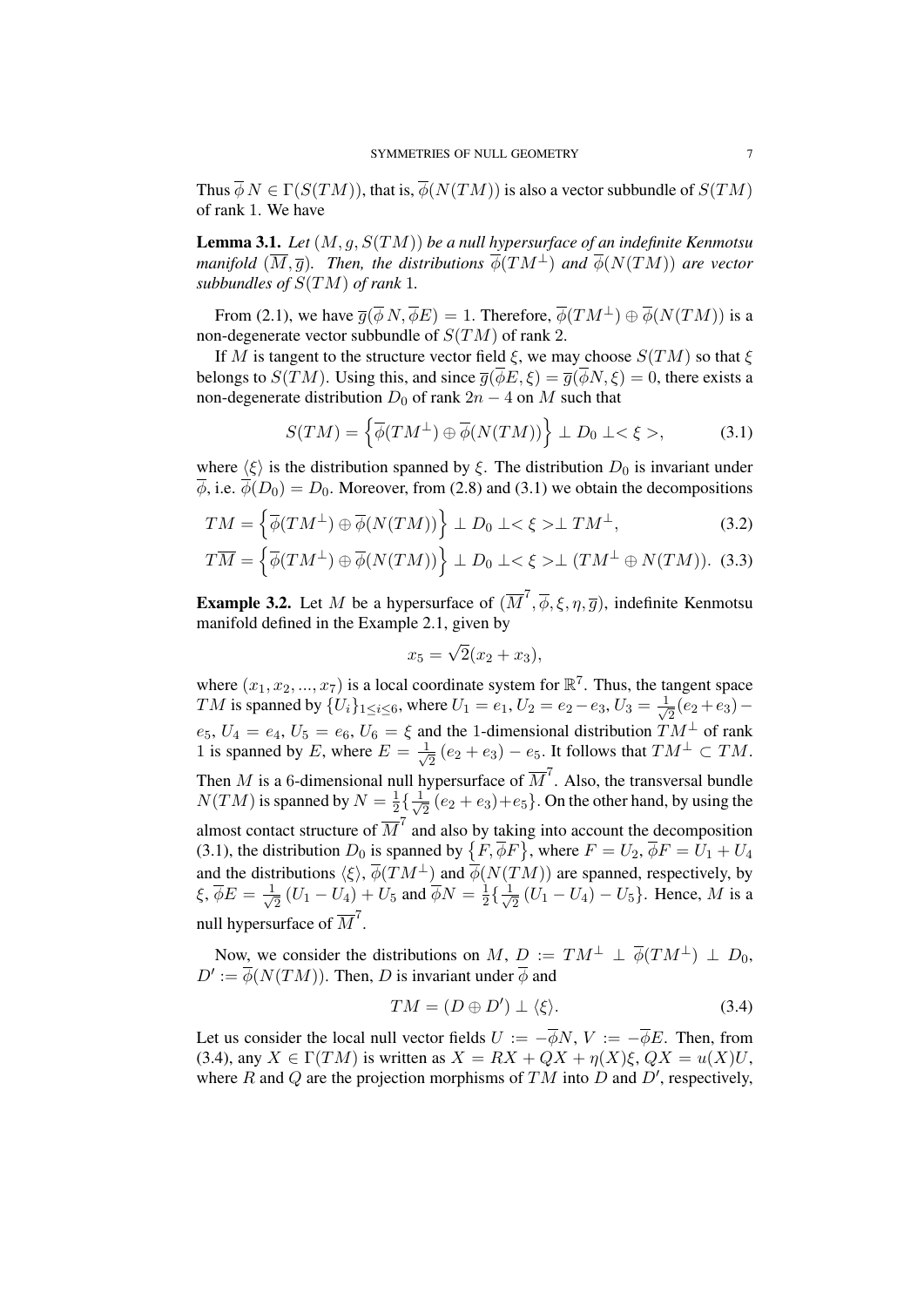Thus  $\overline{\phi} N \in \Gamma(S(TM))$ , that is,  $\overline{\phi}(N(TM))$  is also a vector subbundle of  $S(TM)$ of rank 1. We have

Lemma 3.1. *Let* (*M, g, S*(*TM*)) *be a null hypersurface of an indefinite Kenmotsu manifold*  $(\overline{M}, \overline{q})$ *. Then, the distributions*  $\phi(TM^{\perp})$  *and*  $\phi(N(TM))$  *are vector subbundles of S*(*TM*) *of rank* 1*.*

From (2.1), we have  $\overline{q}(\overline{\phi} N, \overline{\phi} E) = 1$ . Therefore,  $\overline{\phi}(TM^{\perp}) \oplus \overline{\phi}(N(TM))$  is a non-degenerate vector subbundle of *S*(*TM*) of rank 2.

If *M* is tangent to the structure vector field *ξ*, we may choose *S*(*TM*) so that *ξ* belongs to *S*(*TM*). Using this, and since  $\overline{g}(\overline{\phi}E,\xi) = \overline{g}(\overline{\phi}N,\xi) = 0$ , there exists a non-degenerate distribution  $D_0$  of rank  $2n - 4$  on  $M$  such that

$$
S(TM) = \left\{ \overline{\phi}(TM^{\perp}) \oplus \overline{\phi}(N(TM)) \right\} \perp D_0 \perp \lt \xi \gt,
$$
 (3.1)

where  $\langle \xi \rangle$  is the distribution spanned by  $\xi$ . The distribution  $D_0$  is invariant under  $\overline{\phi}$ , i.e.  $\overline{\phi}(D_0) = D_0$ . Moreover, from (2.8) and (3.1) we obtain the decompositions

$$
TM = \left\{ \overline{\phi}(TM^{\perp}) \oplus \overline{\phi}(N(TM)) \right\} \perp D_0 \perp \lt \xi \gt \perp TM^{\perp}, \tag{3.2}
$$

$$
T\overline{M} = \left\{ \overline{\phi}(TM^{\perp}) \oplus \overline{\phi}(N(TM)) \right\} \perp D_0 \perp \lt \xi \gt \perp (TM^{\perp} \oplus N(TM)). \tag{3.3}
$$

**Example 3.2.** Let *M* be a hypersurface of  $(\overline{M}^7, \overline{\phi}, \xi, \eta, \overline{g})$ , indefinite Kenmotsu manifold defined in the Example 2.1, given by

$$
x_5 = \sqrt{2}(x_2 + x_3),
$$

where  $(x_1, x_2, ..., x_7)$  is a local coordinate system for  $\mathbb{R}^7$ . Thus, the tangent space *TM* is spanned by  ${U_i}_{1 \le i \le 6}$ , where  $U_1 = e_1, U_2 = e_2 - e_3, U_3 = \frac{1}{\sqrt{3}}$ 2 (*e*<sup>2</sup> +*e*3)*−*  $e_5$ ,  $U_4 = e_4$ ,  $U_5 = e_6$ ,  $U_6 = \xi$  and the 1-dimensional distribution  $TM^{\perp}$  of rank 1 is spanned by *E*, where  $E = \frac{1}{\sqrt{2}}$  $\frac{1}{2}$  (*e*<sub>2</sub> + *e*<sub>3</sub>) − *e*<sub>5</sub>. It follows that  $TM^{\perp}$  ⊂  $TM$ . Then *M* is a 6-dimensional null hypersurface of  $\overline{M}^7$ . Also, the transversal bundle  $N(TM)$  is spanned by  $N = \frac{1}{2}$  $\frac{1}{2} \left\{ \frac{1}{\sqrt{2}} \right\}$  $\frac{1}{2}(e_2+e_3)+e_5$ . On the other hand, by using the almost contact structure of  $\overline{M}^7$  and also by taking into account the decomposition (3.1), the distribution  $D_0$  is spanned by  $\{F, \overline{\phi}F\}$ , where  $F = U_2$ ,  $\overline{\phi}F = \overline{U_1} + U_4$ and the distributions  $\langle \xi \rangle$ ,  $\phi(TM^{\perp})$  and  $\phi(N(TM))$  are spanned, respectively, by *ξ*, *φE* = *<sup>√</sup>* 1  $\frac{1}{2}(U_1 - U_4) + U_5$  and  $\overline{\phi}N = \frac{1}{2}$  $\frac{1}{2} \left\{ \frac{1}{\sqrt{2}} \right\}$ 2 (*U*<sup>1</sup> *− U*4) *− U*5*}*. Hence, *M* is a null hypersurface of  $\overline{M}^7$ .

Now, we consider the distributions on  $M$ ,  $D := TM^{\perp} \perp \phi(TM^{\perp}) \perp D_0$ ,  $D' := \phi(N(TM))$ . Then, *D* is invariant under  $\phi$  and

$$
TM = (D \oplus D') \perp \langle \xi \rangle. \tag{3.4}
$$

Let us consider the local null vector fields  $U := -\overline{\phi}N$ ,  $V := -\overline{\phi}E$ . Then, from (3.4), any  $X \in \Gamma(TM)$  is written as  $X = RX + QX + \eta(X)\xi$ ,  $QX = u(X)U$ , where *R* and *Q* are the projection morphisms of  $TM$  into *D* and *D'*, respectively,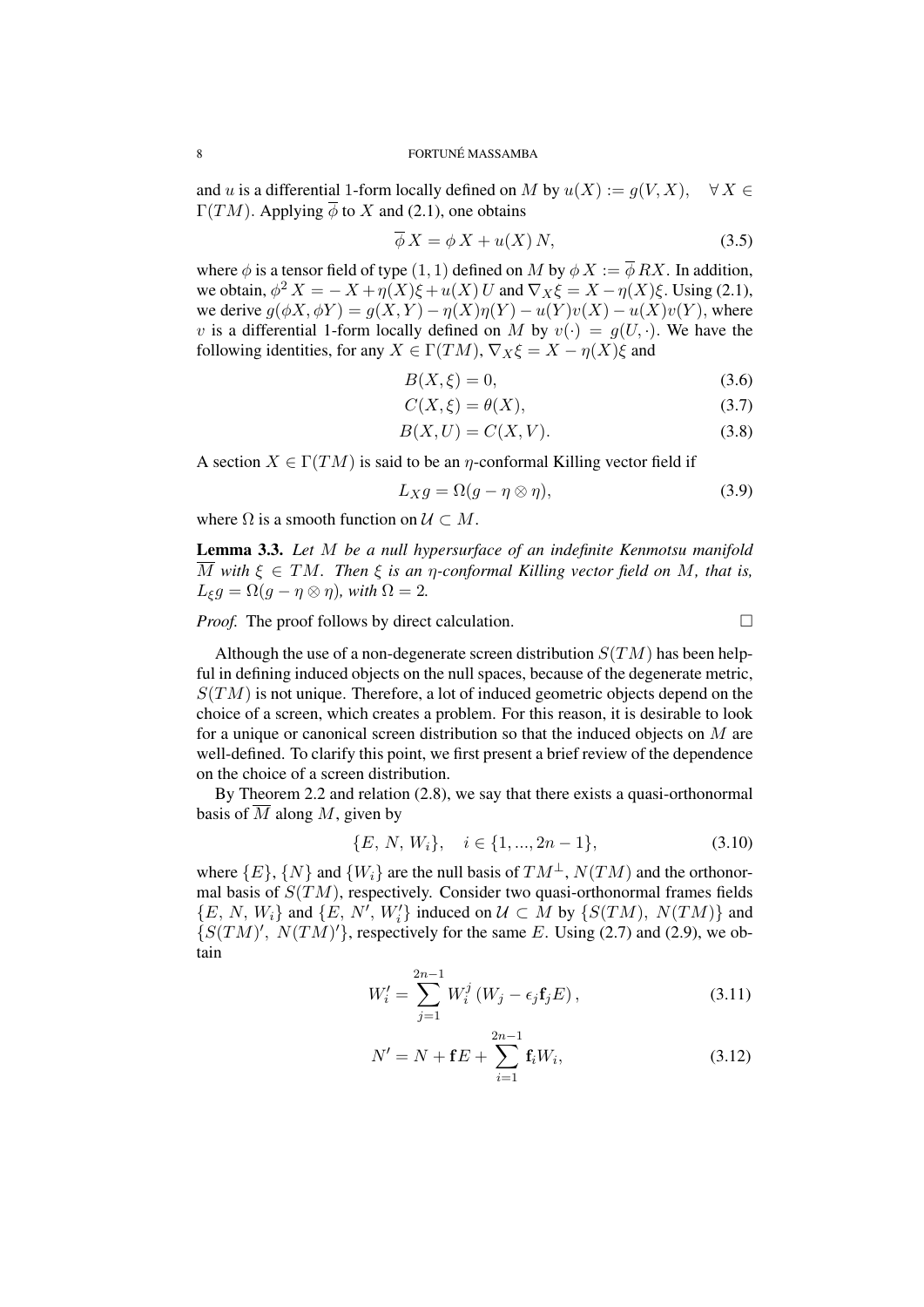and *u* is a differential 1-form locally defined on *M* by  $u(X) := g(V, X)$ ,  $\forall X \in$  $\Gamma(TM)$ . Applying  $\overline{\phi}$  to X and (2.1), one obtains

$$
\phi X = \phi X + u(X) N, \tag{3.5}
$$

where  $\phi$  is a tensor field of type  $(1, 1)$  defined on *M* by  $\phi X := \overline{\phi} R X$ . In addition, we obtain,  $\phi^2 X = -X + \eta(X)\xi + u(X)U$  and  $\nabla_X \xi = X - \eta(X)\xi$ . Using (2.1), we derive  $g(\phi X, \phi Y) = g(X, Y) - \eta(X)\eta(Y) - u(Y)v(X) - u(X)v(Y)$ , where *v* is a differential 1-form locally defined on *M* by  $v(\cdot) = g(U, \cdot)$ . We have the following identities, for any  $X \in \Gamma(TM)$ ,  $\nabla_X \xi = X - \eta(X)\xi$  and

$$
B(X,\xi) = 0,\t(3.6)
$$

$$
C(X,\xi) = \theta(X),\tag{3.7}
$$

$$
B(X, U) = C(X, V). \tag{3.8}
$$

A section  $X \in \Gamma(TM)$  is said to be an *η*-conformal Killing vector field if

$$
L_X g = \Omega(g - \eta \otimes \eta), \tag{3.9}
$$

where  $\Omega$  is a smooth function on  $\mathcal{U} \subset M$ .

Lemma 3.3. *Let M be a null hypersurface of an indefinite Kenmotsu manifold*  $\overline{M}$  with  $\xi \in TM$ . Then  $\xi$  is an *η*-conformal Killing vector field on M, that is,  $L_{\xi}g = \Omega(g - \eta \otimes \eta)$ *, with*  $\Omega = 2$ *.* 

*Proof.* The proof follows by direct calculation.

Although the use of a non-degenerate screen distribution  $S(TM)$  has been helpful in defining induced objects on the null spaces, because of the degenerate metric, *S*(*TM*) is not unique. Therefore, a lot of induced geometric objects depend on the choice of a screen, which creates a problem. For this reason, it is desirable to look for a unique or canonical screen distribution so that the induced objects on *M* are well-defined. To clarify this point, we first present a brief review of the dependence on the choice of a screen distribution.

By Theorem 2.2 and relation (2.8), we say that there exists a quasi-orthonormal basis of  $\overline{M}$  along  $M$ , given by

$$
\{E, N, W_i\}, \quad i \in \{1, ..., 2n - 1\},\tag{3.10}
$$

where  ${E}$ ,  ${N}$  and  ${W_i}$  are the null basis of  $TM^{\perp}$ ,  $N(TM)$  and the orthonormal basis of *S*(*TM*), respectively. Consider two quasi-orthonormal frames fields  $\{E, N, W_i\}$  and  $\{E, N', W'_i\}$  induced on  $U \subset M$  by  $\{S(TM), N(TM)\}$  and  $\{S(TM)'$ ,  $N(TM)'$ }, respectively for the same *E*. Using (2.7) and (2.9), we obtain

$$
W'_{i} = \sum_{j=1}^{2n-1} W_{i}^{j} (W_{j} - \epsilon_{j} \mathbf{f}_{j} E), \qquad (3.11)
$$

$$
N' = N + \mathbf{f}E + \sum_{i=1}^{2n-1} \mathbf{f}_i W_i,
$$
 (3.12)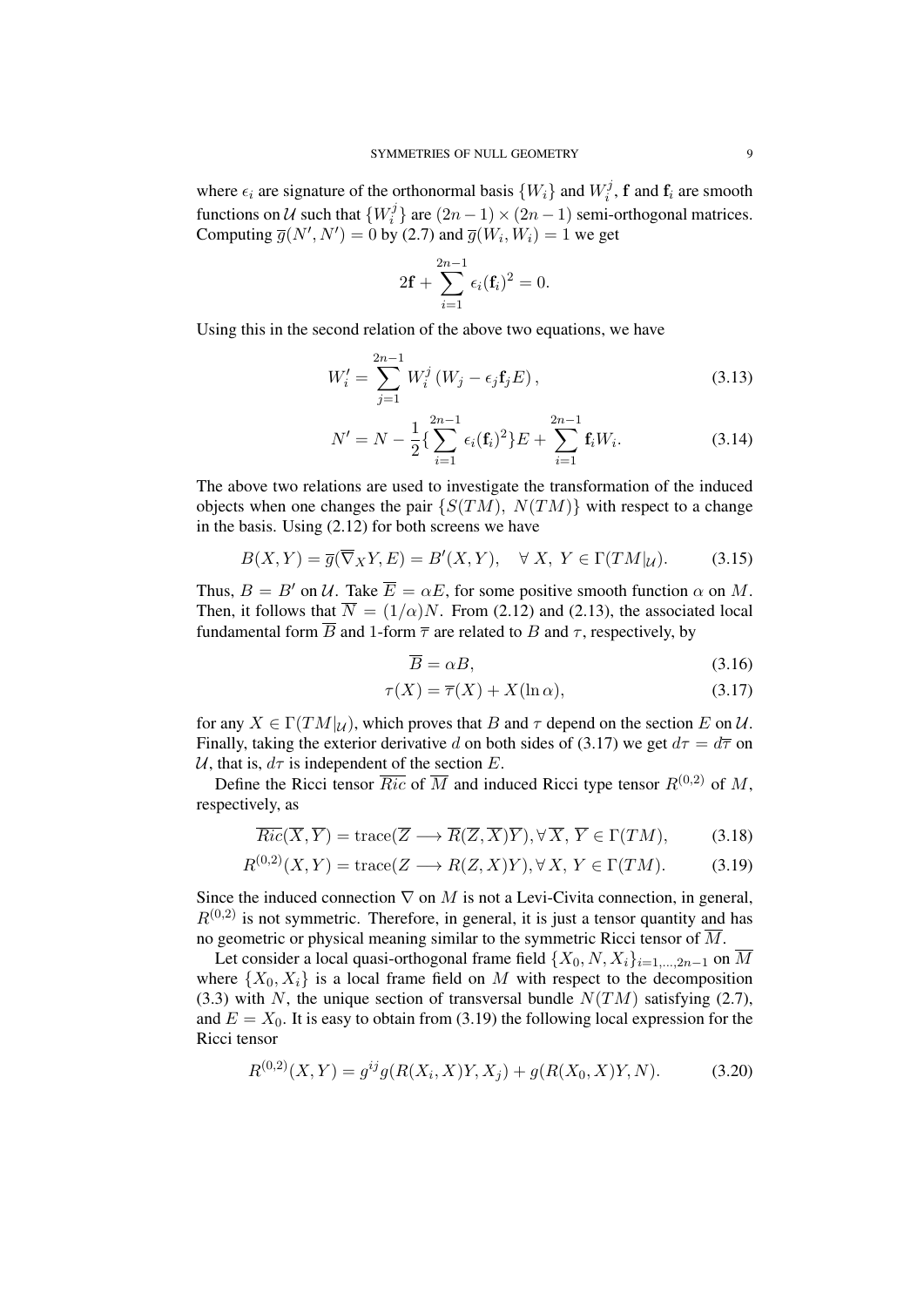where  $\epsilon_i$  are signature of the orthonormal basis  $\{W_i\}$  and  $W_i^j$  $f_i^j$ , **f** and **f**<sub>*i*</sub> are smooth functions on  $\mathcal U$  such that  $\{W_i^j\}$  $\binom{7}{i}$  are  $(2n-1) \times (2n-1)$  semi-orthogonal matrices. Computing  $\overline{g}(N', N') = 0$  by (2.7) and  $\overline{g}(W_i, W_i) = 1$  we get

$$
2\mathbf{f} + \sum_{i=1}^{2n-1} \epsilon_i(\mathbf{f}_i)^2 = 0.
$$

Using this in the second relation of the above two equations, we have

$$
W'_{i} = \sum_{j=1}^{2n-1} W_{i}^{j} (W_{j} - \epsilon_{j} \mathbf{f}_{j} E), \qquad (3.13)
$$

$$
N' = N - \frac{1}{2} \left\{ \sum_{i=1}^{2n-1} \epsilon_i(\mathbf{f}_i)^2 \right\} E + \sum_{i=1}^{2n-1} \mathbf{f}_i W_i.
$$
 (3.14)

The above two relations are used to investigate the transformation of the induced objects when one changes the pair  ${S(TM), N(TM)}$  with respect to a change in the basis. Using (2.12) for both screens we have

$$
B(X,Y) = \overline{g}(\overline{\nabla}_X Y, E) = B'(X,Y), \quad \forall X, Y \in \Gamma(TM|_{\mathcal{U}}). \tag{3.15}
$$

Thus,  $B = B'$  on  $\mathcal{U}$ . Take  $\overline{E} = \alpha E$ , for some positive smooth function  $\alpha$  on M. Then, it follows that  $\overline{N} = (1/\alpha)N$ . From (2.12) and (2.13), the associated local fundamental form  $\overline{B}$  and 1-form  $\overline{\tau}$  are related to *B* and  $\tau$ , respectively, by

$$
\overline{B} = \alpha B, \tag{3.16}
$$

$$
\tau(X) = \overline{\tau}(X) + X(\ln \alpha), \tag{3.17}
$$

for any  $X \in \Gamma(TM|\mathcal{U})$ , which proves that *B* and  $\tau$  depend on the section *E* on *U*. Finally, taking the exterior derivative *d* on both sides of (3.17) we get  $d\tau = d\overline{\tau}$  on *U*, that is,  $d\tau$  is independent of the section *E*.

Define the Ricci tensor  $\overline{Ric}$  of  $\overline{M}$  and induced Ricci type tensor  $R^{(0,2)}$  of M. respectively, as

$$
\overline{Ric}(\overline{X}, \overline{Y}) = \text{trace}(\overline{Z} \longrightarrow \overline{R}(\overline{Z}, \overline{X})\overline{Y}), \forall \overline{X}, \overline{Y} \in \Gamma(TM), \tag{3.18}
$$

$$
R^{(0,2)}(X,Y) = \text{trace}(Z \longrightarrow R(Z,X)Y), \forall X, Y \in \Gamma(TM). \tag{3.19}
$$

Since the induced connection *∇* on *M* is not a Levi-Civita connection, in general,  $R^{(0,2)}$  is not symmetric. Therefore, in general, it is just a tensor quantity and has no geometric or physical meaning similar to the symmetric Ricci tensor of  $\overline{M}$ .

Let consider a local quasi-orthogonal frame field  $\{X_0, N, X_i\}_{i=1,\dots,2n-1}$  on  $\overline{M}$ where  $\{X_0, X_i\}$  is a local frame field on *M* with respect to the decomposition (3.3) with *N*, the unique section of transversal bundle  $N(TM)$  satisfying (2.7), and  $E = X_0$ . It is easy to obtain from (3.19) the following local expression for the Ricci tensor

$$
R^{(0,2)}(X,Y) = g^{ij}g(R(X_i,X)Y,X_j) + g(R(X_0,X)Y,N). \tag{3.20}
$$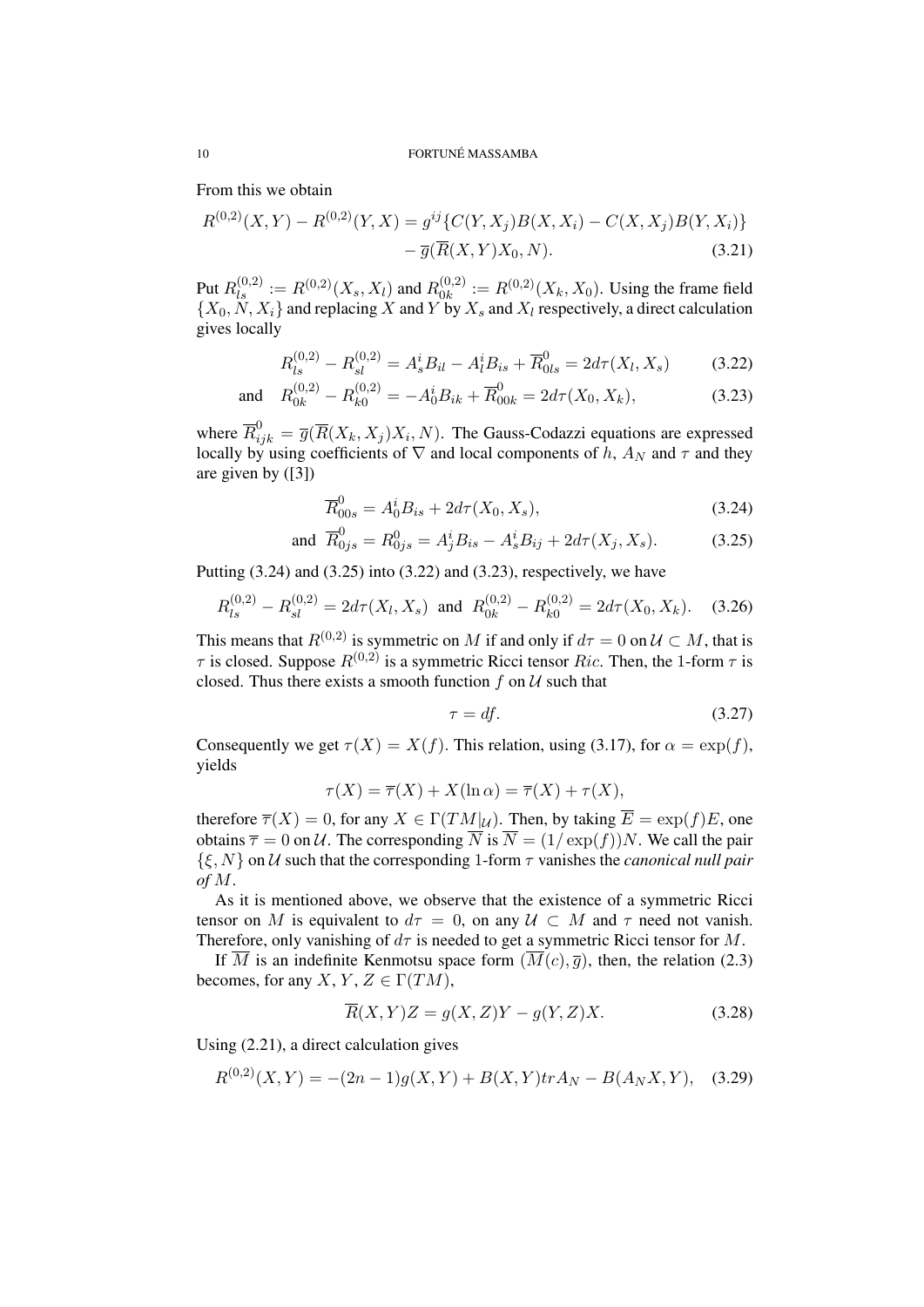From this we obtain

$$
R^{(0,2)}(X,Y) - R^{(0,2)}(Y,X) = g^{ij} \{ C(Y,X_j)B(X,X_i) - C(X,X_j)B(Y,X_i) \} - \overline{g}(\overline{R}(X,Y)X_0,N). \tag{3.21}
$$

Put 
$$
R_{ls}^{(0,2)} := R^{(0,2)}(X_s, X_l)
$$
 and  $R_{0k}^{(0,2)} := R^{(0,2)}(X_k, X_0)$ . Using the frame field  $\{X_0, N, X_i\}$  and replacing X and Y by  $X_s$  and  $X_l$  respectively, a direct calculation gives locally

$$
R_{ls}^{(0,2)} - R_{sl}^{(0,2)} = A_s^i B_{il} - A_l^i B_{is} + \overline{R}_{0ls}^0 = 2d\tau(X_l, X_s)
$$
 (3.22)

and 
$$
R_{0k}^{(0,2)} - R_{k0}^{(0,2)} = -A_0^i B_{ik} + \overline{R}_{00k}^0 = 2d\tau(X_0, X_k),
$$
 (3.23)

where  $\overline{R}_{ijk}^0 = \overline{g}(\overline{R}(X_k, X_j)X_i, N)$ . The Gauss-Codazzi equations are expressed locally by using coefficients of  $\nabla$  and local components of *h*,  $A_N$  and  $\tau$  and they are given by ([3])

$$
\overline{R}_{00s}^{0} = A_0^i B_{is} + 2d\tau(X_0, X_s), \tag{3.24}
$$

and 
$$
\overline{R}_{0js}^0 = R_{0js}^0 = A_j^i B_{is} - A_s^i B_{ij} + 2d\tau(X_j, X_s).
$$
 (3.25)

Putting  $(3.24)$  and  $(3.25)$  into  $(3.22)$  and  $(3.23)$ , respectively, we have

$$
R_{ls}^{(0,2)} - R_{sl}^{(0,2)} = 2d\tau(X_l, X_s) \text{ and } R_{0k}^{(0,2)} - R_{k0}^{(0,2)} = 2d\tau(X_0, X_k). \quad (3.26)
$$

This means that *R*<sup>(0,2)</sup> is symmetric on *M* if and only if  $d\tau = 0$  on  $\mathcal{U} \subset M$ , that is *τ* is closed. Suppose  $R^{(0,2)}$  is a symmetric Ricci tensor *Ric*. Then, the 1-form *τ* is closed. Thus there exists a smooth function  $f$  on  $U$  such that

$$
\tau = df. \tag{3.27}
$$

Consequently we get  $\tau(X) = X(f)$ . This relation, using (3.17), for  $\alpha = \exp(f)$ , yields

$$
\tau(X) = \overline{\tau}(X) + X(\ln \alpha) = \overline{\tau}(X) + \tau(X),
$$

therefore  $\overline{\tau}(X) = 0$ , for any  $X \in \Gamma(TM|\mu)$ . Then, by taking  $\overline{E} = \exp(f)E$ , one obtains  $\bar{\tau} = 0$  on *U*. The corresponding  $\bar{N}$  is  $\bar{N} = (1/\exp(f))N$ . We call the pair *{ξ, N}* on *U* such that the corresponding 1-form *τ* vanishes the *canonical null pair of M*.

As it is mentioned above, we observe that the existence of a symmetric Ricci tensor on *M* is equivalent to  $d\tau = 0$ , on any  $\mathcal{U} \subset M$  and  $\tau$  need not vanish. Therefore, only vanishing of *dτ* is needed to get a symmetric Ricci tensor for *M*.

If  $\overline{M}$  is an indefinite Kenmotsu space form  $(\overline{M}(c), \overline{q})$ , then, the relation (2.3) becomes, for any *X*, *Y*, *Z*  $\in \Gamma(TM)$ ,

$$
\overline{R}(X,Y)Z = g(X,Z)Y - g(Y,Z)X.
$$
\n(3.28)

Using (2.21), a direct calculation gives

$$
R^{(0,2)}(X,Y) = -(2n-1)g(X,Y) + B(X,Y)trA_N - B(A_NX,Y), \quad (3.29)
$$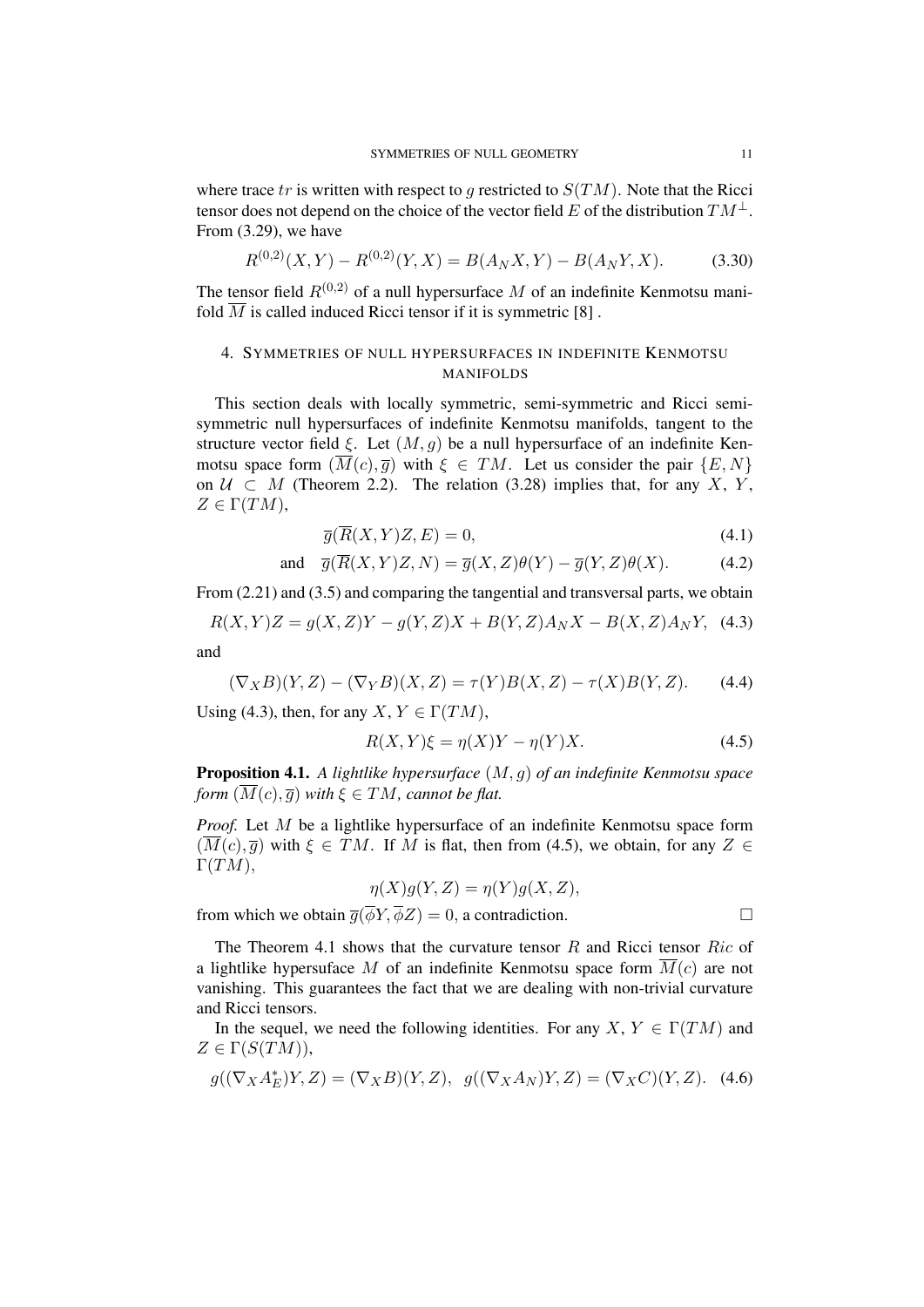where trace  $tr$  is written with respect to  $g$  restricted to  $S(TM)$ . Note that the Ricci tensor does not depend on the choice of the vector field *E* of the distribution  $TM^{\perp}$ . From (3.29), we have

$$
R^{(0,2)}(X,Y) - R^{(0,2)}(Y,X) = B(A_N X,Y) - B(A_N Y,X). \tag{3.30}
$$

The tensor field  $R^{(0,2)}$  of a null hypersurface M of an indefinite Kenmotsu manifold  $\overline{M}$  is called induced Ricci tensor if it is symmetric [8].

# 4. SYMMETRIES OF NULL HYPERSURFACES IN INDEFINITE KENMOTSU MANIFOLDS

This section deals with locally symmetric, semi-symmetric and Ricci semisymmetric null hypersurfaces of indefinite Kenmotsu manifolds, tangent to the structure vector field  $\xi$ . Let  $(M, g)$  be a null hypersurface of an indefinite Kenmotsu space form  $(\overline{M}(c), \overline{q})$  with  $\xi \in TM$ . Let us consider the pair  $\{E, N\}$ on  $U$  ⊂ *M* (Theorem 2.2). The relation (3.28) implies that, for any *X*, *Y*,  $Z \in \Gamma(TM)$ ,

$$
\overline{g}(\overline{R}(X,Y)Z,E) = 0,\t\t(4.1)
$$

and 
$$
\overline{g}(\overline{R}(X,Y)Z,N) = \overline{g}(X,Z)\theta(Y) - \overline{g}(Y,Z)\theta(X).
$$
 (4.2)

From  $(2.21)$  and  $(3.5)$  and comparing the tangential and transversal parts, we obtain

$$
R(X,Y)Z = g(X,Z)Y - g(Y,Z)X + B(Y,Z)A_NX - B(X,Z)A_NY, \quad (4.3)
$$
  
and

$$
(\nabla_X B)(Y,Z) - (\nabla_Y B)(X,Z) = \tau(Y)B(X,Z) - \tau(X)B(Y,Z). \tag{4.4}
$$

Using (4.3), then, for any *X*,  $Y \in \Gamma(TM)$ ,

$$
R(X,Y)\xi = \eta(X)Y - \eta(Y)X.
$$
\n(4.5)

Proposition 4.1. *A lightlike hypersurface* (*M, g*) *of an indefinite Kenmotsu space form*  $(\overline{M}(c), \overline{g})$  *with*  $\xi \in TM$ *, cannot be flat.* 

*Proof.* Let *M* be a lightlike hypersurface of an indefinite Kenmotsu space form  $(\overline{M}(c), \overline{q})$  with  $\xi \in TM$ . If M is flat, then from (4.5), we obtain, for any  $Z \in$ Γ(*TM*)*,*

$$
\eta(X)g(Y,Z) = \eta(Y)g(X,Z),
$$

from which we obtain  $\overline{g}(\overline{\phi}Y, \overline{\phi}Z) = 0$ , a contradiction.

The Theorem 4.1 shows that the curvature tensor *R* and Ricci tensor *Ric* of a lightlike hypersuface M of an indefinite Kenmotsu space form  $\overline{M}(c)$  are not vanishing. This guarantees the fact that we are dealing with non-trivial curvature and Ricci tensors.

In the sequel, we need the following identities. For any *X*,  $Y \in \Gamma(TM)$  and  $Z \in \Gamma(S(TM)),$ 

$$
g((\nabla_X A_E^*)Y, Z) = (\nabla_X B)(Y, Z), \quad g((\nabla_X A_N)Y, Z) = (\nabla_X C)(Y, Z). \tag{4.6}
$$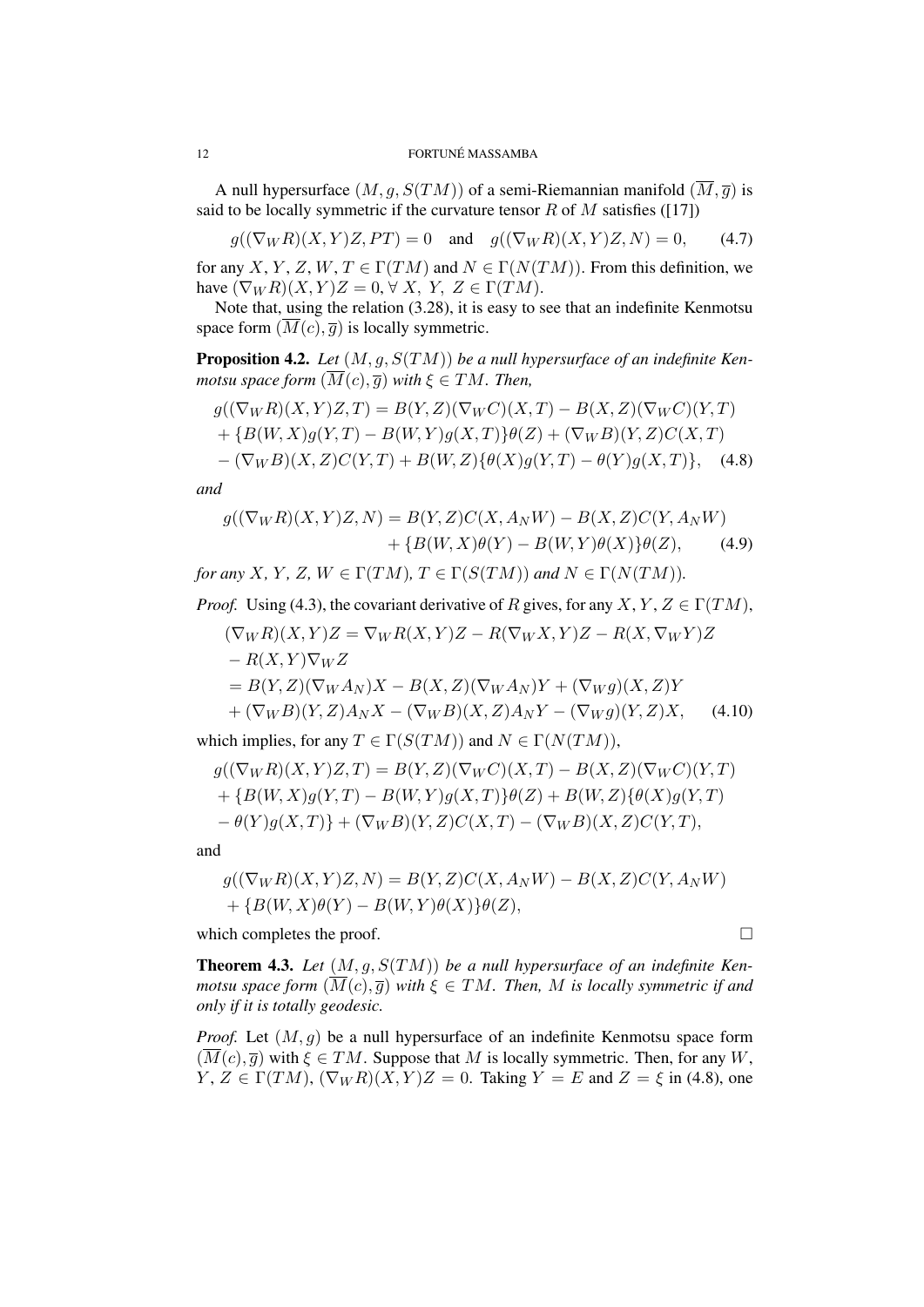A null hypersurface  $(M, q, S(TM))$  of a semi-Riemannian manifold  $(\overline{M}, \overline{q})$  is said to be locally symmetric if the curvature tensor  $R$  of  $M$  satisfies ([17])

 $g((\nabla_W R)(X, Y)Z, PT) = 0$  and  $g((\nabla_W R)(X, Y)Z, N) = 0$ , (4.7)

for any *X*, *Y*, *Z*, *W*, *T*  $\in \Gamma(TM)$  and  $N \in \Gamma(N(TM))$ . From this definition, we have  $(\nabla_W R)(X, Y)Z = 0, \forall X, Y, Z \in \Gamma(TM)$ .

Note that, using the relation (3.28), it is easy to see that an indefinite Kenmotsu space form  $(\overline{M}(c), \overline{g})$  is locally symmetric.

Proposition 4.2. *Let* (*M, g, S*(*TM*)) *be a null hypersurface of an indefinite Kenmotsu space form*  $(\overline{M}(c), \overline{g})$  *with*  $\xi \in TM$ *. Then,* 

$$
g((\nabla_{W}R)(X,Y)Z,T) = B(Y,Z)(\nabla_{W}C)(X,T) - B(X,Z)(\nabla_{W}C)(Y,T) + \{B(W,X)g(Y,T) - B(W,Y)g(X,T)\}\theta(Z) + (\nabla_{W}B)(Y,Z)C(X,T) - (\nabla_{W}B)(X,Z)C(Y,T) + B(W,Z)\{\theta(X)g(Y,T) - \theta(Y)g(X,T)\},
$$
(4.8)

*and*

$$
g((\nabla_W R)(X,Y)Z,N) = B(Y,Z)C(X,A_NW) - B(X,Z)C(Y,A_NW)
$$
  
+ 
$$
\{B(W,X)\theta(Y) - B(W,Y)\theta(X)\}\theta(Z),
$$
 (4.9)

*for any X, Y, Z, W*  $\in \Gamma(TM)$ *,*  $T \in \Gamma(S(TM))$  *and*  $N \in \Gamma(N(TM))$ *.* 

*Proof.* Using (4.3), the covariant derivative of *R* gives, for any *X*, *Y*, *Z*  $\in \Gamma(TM)$ ,

$$
(\nabla_W R)(X,Y)Z = \nabla_W R(X,Y)Z - R(\nabla_W X,Y)Z - R(X,\nabla_W Y)Z
$$
  
\n
$$
- R(X,Y)\nabla_W Z
$$
  
\n
$$
= B(Y,Z)(\nabla_W A_N)X - B(X,Z)(\nabla_W A_N)Y + (\nabla_W g)(X,Z)Y
$$
  
\n
$$
+ (\nabla_W B)(Y,Z)A_NX - (\nabla_W B)(X,Z)A_NY - (\nabla_W g)(Y,Z)X, \quad (4.10)
$$

which implies, for any  $T \in \Gamma(S(TM))$  and  $N \in \Gamma(N(TM))$ ,

$$
g((\nabla_W R)(X,Y)Z,T) = B(Y,Z)(\nabla_W C)(X,T) - B(X,Z)(\nabla_W C)(Y,T) + \{B(W,X)g(Y,T) - B(W,Y)g(X,T)\}\theta(Z) + B(W,Z)\{\theta(X)g(Y,T) - \theta(Y)g(X,T)\} + (\nabla_W B)(Y,Z)C(X,T) - (\nabla_W B)(X,Z)C(Y,T),
$$

and

$$
g((\nabla_W R)(X,Y)Z,N) = B(Y,Z)C(X,A_NW) - B(X,Z)C(Y,A_NW) + \{B(W,X)\theta(Y) - B(W,Y)\theta(X)\}\theta(Z),
$$

which completes the proof.  $\Box$ 

Theorem 4.3. *Let* (*M, g, S*(*TM*)) *be a null hypersurface of an indefinite Kenmotsu space form*  $(\overline{M}(c), \overline{g})$  *with*  $\xi \in TM$ *. Then, M is locally symmetric if and only if it is totally geodesic.*

*Proof.* Let  $(M, g)$  be a null hypersurface of an indefinite Kenmotsu space form  $(\overline{M}(c), \overline{g})$  with  $\xi \in TM$ . Suppose that *M* is locally symmetric. Then, for any *W*,  $Y, Z \in \Gamma(TM), (\nabla_W R)(X, Y)Z = 0$ . Taking  $Y = E$  and  $Z = \xi$  in (4.8), one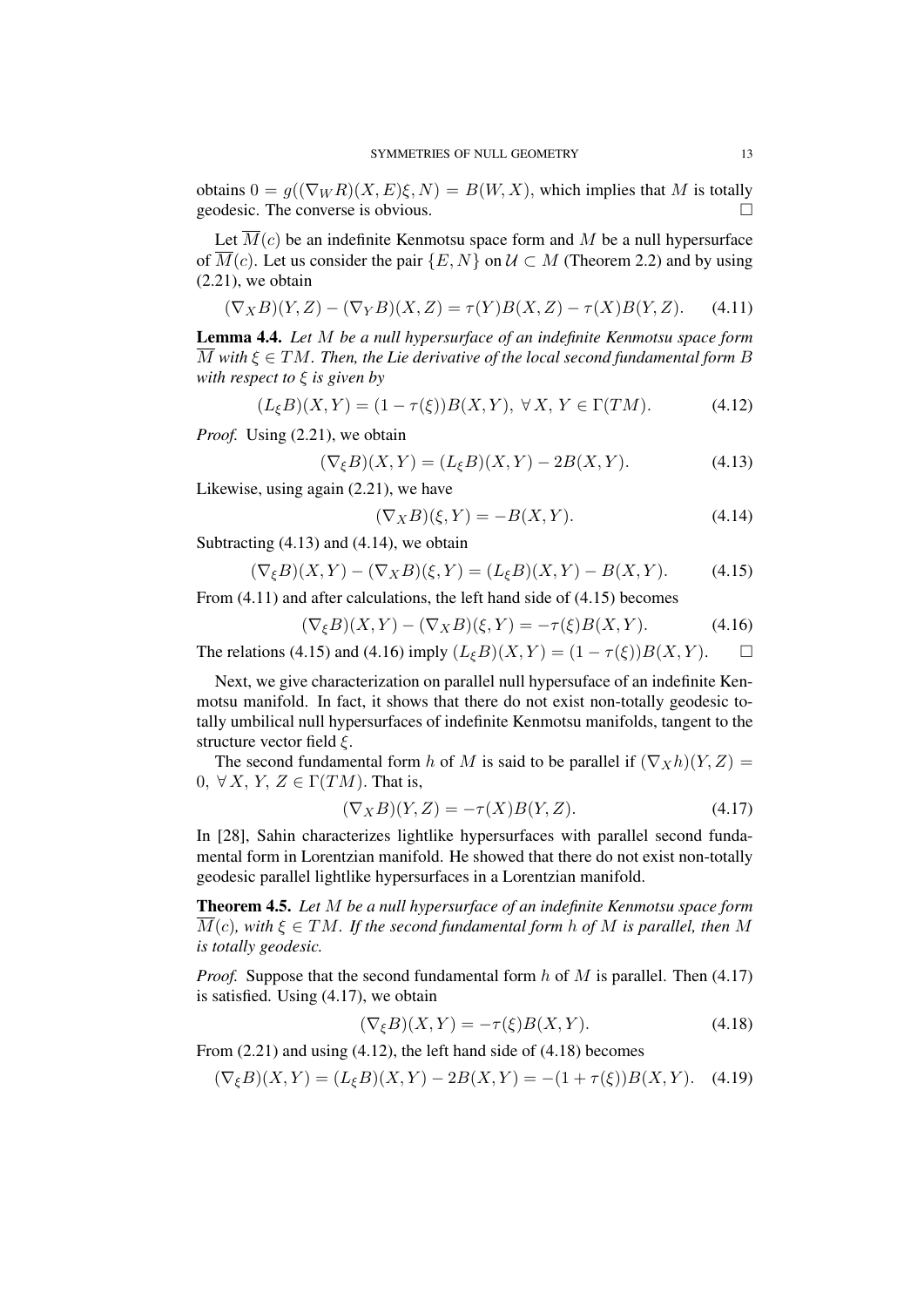obtains  $0 = g((\nabla_W R)(X, E)\xi, N) = B(W, X)$ , which implies that M is totally geodesic. The converse is obvious.

Let  $\overline{M}(c)$  be an indefinite Kenmotsu space form and M be a null hypersurface of  $\overline{M}(c)$ . Let us consider the pair  $\{E, N\}$  on  $\mathcal{U} \subset M$  (Theorem 2.2) and by using  $(2.21)$ , we obtain

$$
(\nabla_X B)(Y, Z) - (\nabla_Y B)(X, Z) = \tau(Y)B(X, Z) - \tau(X)B(Y, Z). \tag{4.11}
$$

Lemma 4.4. *Let M be a null hypersurface of an indefinite Kenmotsu space form*  $\overline{M}$  with  $\xi \in TM$ . Then, the Lie derivative of the local second fundamental form B *with respect to ξ is given by*

$$
(L_{\xi}B)(X,Y) = (1 - \tau(\xi))B(X,Y), \ \forall X, Y \in \Gamma(TM). \tag{4.12}
$$

*Proof.* Using (2.21), we obtain

$$
(\nabla_{\xi} B)(X, Y) = (L_{\xi} B)(X, Y) - 2B(X, Y). \tag{4.13}
$$

Likewise, using again (2.21), we have

$$
(\nabla_X B)(\xi, Y) = -B(X, Y). \tag{4.14}
$$

Subtracting (4.13) and (4.14), we obtain

$$
(\nabla_{\xi}B)(X,Y) - (\nabla_{X}B)(\xi,Y) = (L_{\xi}B)(X,Y) - B(X,Y). \tag{4.15}
$$

From (4.11) and after calculations, the left hand side of (4.15) becomes

$$
(\nabla_{\xi}B)(X,Y) - (\nabla_XB)(\xi,Y) = -\tau(\xi)B(X,Y). \tag{4.16}
$$

The relations (4.15) and (4.16) imply  $(L_{\xi}B)(X, Y) = (1 - \tau(\xi))B(X, Y)$ .  $\Box$ 

Next, we give characterization on parallel null hypersuface of an indefinite Kenmotsu manifold. In fact, it shows that there do not exist non-totally geodesic totally umbilical null hypersurfaces of indefinite Kenmotsu manifolds, tangent to the structure vector field *ξ*.

The second fundamental form *h* of *M* is said to be parallel if  $(\nabla_X h)(Y, Z) =$ 0,  $\forall X, Y, Z \in \Gamma(TM)$ . That is,

$$
(\nabla_X B)(Y,Z) = -\tau(X)B(Y,Z). \tag{4.17}
$$

In [28], Sahin characterizes lightlike hypersurfaces with parallel second fundamental form in Lorentzian manifold. He showed that there do not exist non-totally geodesic parallel lightlike hypersurfaces in a Lorentzian manifold.

Theorem 4.5. *Let M be a null hypersurface of an indefinite Kenmotsu space form*  $\overline{M}(c)$ , with  $\xi \in TM$ . If the second fundamental form h of M is parallel, then M *is totally geodesic.*

*Proof.* Suppose that the second fundamental form *h* of *M* is parallel. Then (4.17) is satisfied. Using (4.17), we obtain

$$
(\nabla_{\xi}B)(X,Y) = -\tau(\xi)B(X,Y). \tag{4.18}
$$

From (2.21) and using (4.12), the left hand side of (4.18) becomes

$$
(\nabla_{\xi}B)(X,Y) = (L_{\xi}B)(X,Y) - 2B(X,Y) = -(1 + \tau(\xi))B(X,Y). \quad (4.19)
$$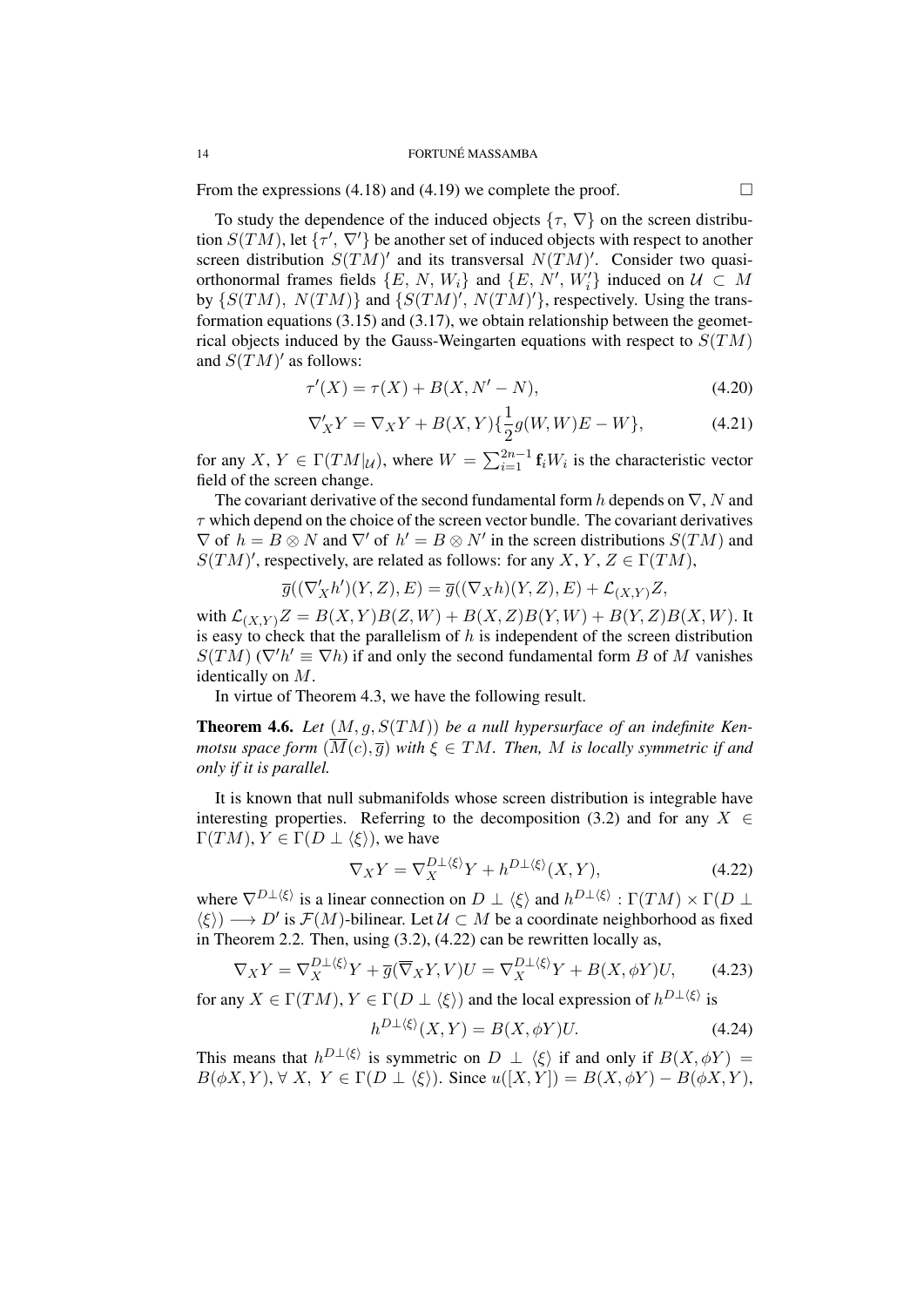#### 14 **FORTUNÉ MASSAMBA**

From the expressions (4.18) and (4.19) we complete the proof.  $\Box$ 

To study the dependence of the induced objects  $\{\tau, \nabla\}$  on the screen distribution  $S(TM)$ , let  $\{\tau', \nabla'\}$  be another set of induced objects with respect to another screen distribution  $S(TM)'$  and its transversal  $N(TM)'$ . Consider two quasiorthonormal frames fields  $\{E, N, W_i\}$  and  $\{E, N', W'_i\}$  induced on  $\mathcal{U} \subset M$ by  $\{S(TM), N(TM)\}$  and  $\{S(TM)$ ,  $N(TM)$ , respectively. Using the transformation equations  $(3.15)$  and  $(3.17)$ , we obtain relationship between the geometrical objects induced by the Gauss-Weingarten equations with respect to *S*(*TM*) and  $S(TM)'$  as follows:

$$
\tau'(X) = \tau(X) + B(X, N' - N), \tag{4.20}
$$

$$
\nabla'_{X} Y = \nabla_{X} Y + B(X, Y) \{ \frac{1}{2} g(W, W) E - W \},
$$
\n(4.21)

for any *X*,  $Y \in \Gamma(TM|\mu)$ , where  $W = \sum_{i=1}^{2n-1} \mathbf{f}_i W_i$  is the characteristic vector field of the screen change.

The covariant derivative of the second fundamental form *h* depends on *∇*, *N* and  $\tau$  which depend on the choice of the screen vector bundle. The covariant derivatives  $\nabla$  of  $h = B \otimes N$  and  $\nabla'$  of  $h' = B \otimes N'$  in the screen distributions  $S(TM)$  and  $S(TM)'$ , respectively, are related as follows: for any *X*, *Y*, *Z*  $\in \Gamma(TM)$ ,

$$
\overline{g}((\nabla'_X h')(Y,Z),E)=\overline{g}((\nabla_X h)(Y,Z),E)+\mathcal{L}_{(X,Y)}Z,
$$

with  $\mathcal{L}_{(X,Y)}Z = B(X,Y)B(Z,W) + B(X,Z)B(Y,W) + B(Y,Z)B(X,W)$ . It is easy to check that the parallelism of *h* is independent of the screen distribution  $S(TM)$  ( $\nabla^{\prime}h' \equiv \nabla h$ ) if and only the second fundamental form *B* of *M* vanishes identically on *M*.

In virtue of Theorem 4.3, we have the following result.

Theorem 4.6. *Let* (*M, g, S*(*TM*)) *be a null hypersurface of an indefinite Kenmotsu space form*  $(\overline{M}(c), \overline{g})$  *with*  $\xi \in TM$ *. Then, M is locally symmetric if and only if it is parallel.*

It is known that null submanifolds whose screen distribution is integrable have interesting properties. Referring to the decomposition (3.2) and for any  $X \in$  $\Gamma(TM), Y \in \Gamma(D \perp \langle \xi \rangle)$ , we have

$$
\nabla_X Y = \nabla_X^{D \perp \langle \xi \rangle} Y + h^{D \perp \langle \xi \rangle} (X, Y), \tag{4.22}
$$

where  $\nabla^{D\perp\langle\xi\rangle}$  is a linear connection on  $D \perp \langle \xi \rangle$  and  $h^{D\perp\langle\xi\rangle} : \Gamma(TM) \times \Gamma(D \perp$  $\langle \xi \rangle$   $\rightarrow$  *D'* is *F*(*M*)-bilinear. Let  $U \subset M$  be a coordinate neighborhood as fixed in Theorem 2.2. Then, using (3.2), (4.22) can be rewritten locally as,

$$
\nabla_X Y = \nabla_X^{D \perp \langle \xi \rangle} Y + \overline{g}(\overline{\nabla}_X Y, V) U = \nabla_X^{D \perp \langle \xi \rangle} Y + B(X, \phi Y) U,\tag{4.23}
$$

for any  $X \in \Gamma(TM)$ ,  $Y \in \Gamma(D \perp \langle \xi \rangle)$  and the local expression of  $h^{D \perp \langle \xi \rangle}$  is

$$
h^{D\perp\langle\xi\rangle}(X,Y) = B(X,\phi Y)U.
$$
\n(4.24)

This means that  $h^{D \perp \langle \xi \rangle}$  is symmetric on  $D \perp \langle \xi \rangle$  if and only if  $B(X, \phi Y) =$  $B(\phi X, Y)$ ,  $\forall X, Y \in \Gamma(D \perp \langle \xi \rangle)$ . Since  $u([X, Y]) = B(X, \phi Y) - B(\phi X, Y)$ ,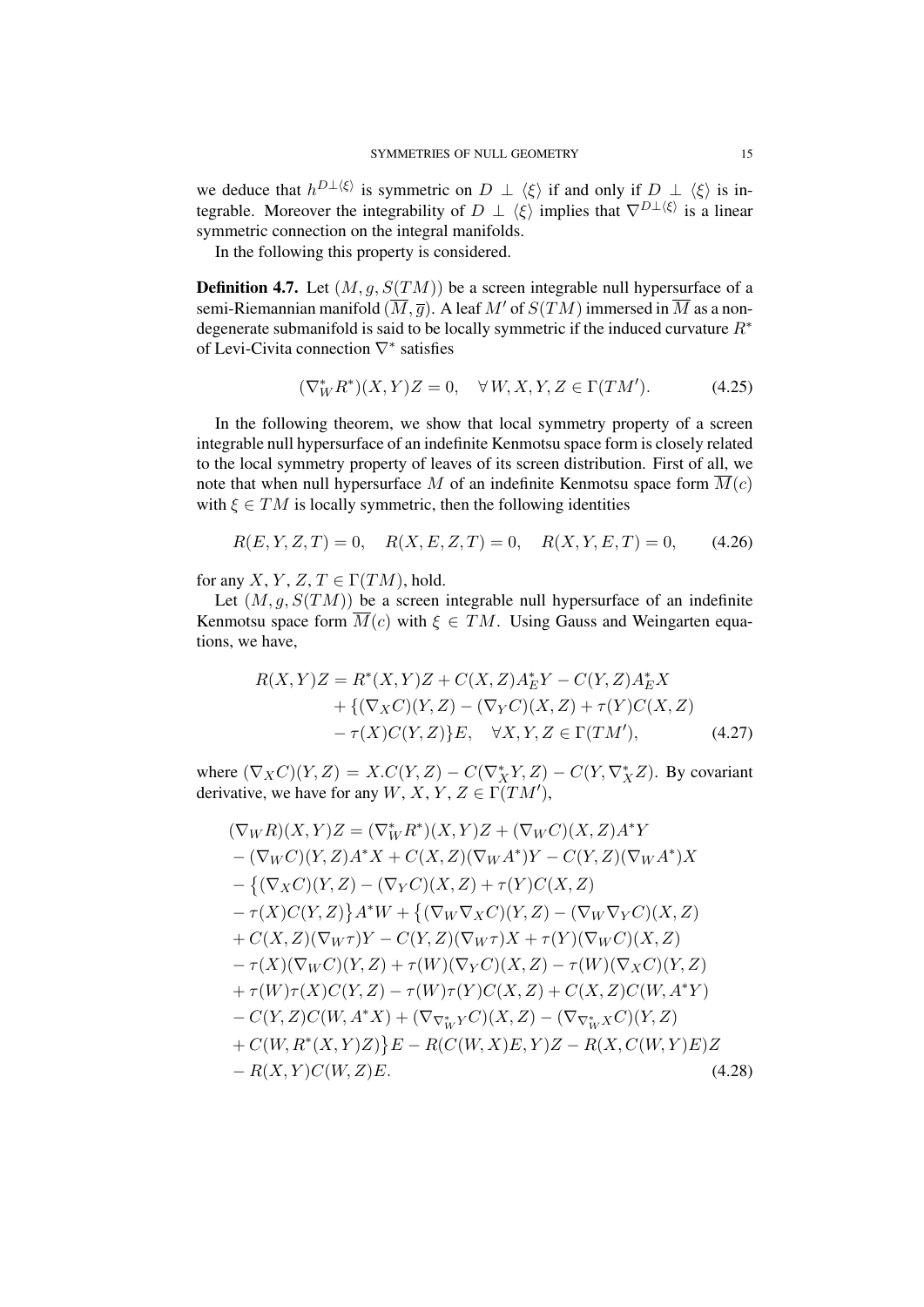we deduce that  $h^{D\perp(\xi)}$  is symmetric on  $D \perp \langle \xi \rangle$  if and only if  $D \perp \langle \xi \rangle$  is integrable. Moreover the integrability of  $D \perp \langle \xi \rangle$  implies that  $\nabla^{D \perp \langle \xi \rangle}$  is a linear symmetric connection on the integral manifolds.

In the following this property is considered.

**Definition 4.7.** Let  $(M, q, S(TM))$  be a screen integrable null hypersurface of a semi-Riemannian manifold  $(\overline{M}, \overline{g})$ . A leaf  $M'$  of  $S(TM)$  immersed in  $\overline{M}$  as a nondegenerate submanifold is said to be locally symmetric if the induced curvature *R∗* of Levi-Civita connection *∇∗* satisfies

$$
(\nabla^*_{W} R^*)(X, Y)Z = 0, \quad \forall W, X, Y, Z \in \Gamma(TM'). \tag{4.25}
$$

In the following theorem, we show that local symmetry property of a screen integrable null hypersurface of an indefinite Kenmotsu space form is closely related to the local symmetry property of leaves of its screen distribution. First of all, we note that when null hypersurface M of an indefinite Kenmotsu space form  $\overline{M}(c)$ with  $\xi \in TM$  is locally symmetric, then the following identities

$$
R(E, Y, Z, T) = 0, \quad R(X, E, Z, T) = 0, \quad R(X, Y, E, T) = 0,\tag{4.26}
$$

for any *X*, *Y*, *Z*, *T*  $\in \Gamma(TM)$ , hold.

Let  $(M, q, S(TM))$  be a screen integrable null hypersurface of an indefinite Kenmotsu space form  $\overline{M}(c)$  with  $\xi \in TM$ . Using Gauss and Weingarten equations, we have,

$$
R(X,Y)Z = R^*(X,Y)Z + C(X,Z)A_E^*Y - C(Y,Z)A_E^*X + \{ (\nabla_X C)(Y,Z) - (\nabla_Y C)(X,Z) + \tau(Y)C(X,Z) - \tau(X)C(Y,Z) \}E, \quad \forall X,Y,Z \in \Gamma(TM'), \tag{4.27}
$$

where  $(\nabla_X C)(Y, Z) = X.C(Y, Z) - C(\nabla_X^* Y, Z) - C(Y, \nabla_X^* Z)$ . By covariant derivative, we have for any  $W, X, Y, Z \in \Gamma(TM')$ ,

$$
(\nabla_{W}R)(X,Y)Z = (\nabla_{W}^{*}R^{*})(X,Y)Z + (\nabla_{W}C)(X,Z)A^{*}Y
$$
  
\n
$$
-(\nabla_{W}C)(Y,Z)A^{*}X + C(X,Z)(\nabla_{W}A^{*})Y - C(Y,Z)(\nabla_{W}A^{*})X
$$
  
\n
$$
-(\nabla_{X}C)(Y,Z) - (\nabla_{Y}C)(X,Z) + \tau(Y)C(X,Z)
$$
  
\n
$$
-\tau(X)C(Y,Z)\}A^{*}W + \{(\nabla_{W}\nabla_{X}C)(Y,Z) - (\nabla_{W}\nabla_{Y}C)(X,Z)
$$
  
\n
$$
+ C(X,Z)(\nabla_{W}\tau)Y - C(Y,Z)(\nabla_{W}\tau)X + \tau(Y)(\nabla_{W}C)(X,Z)
$$
  
\n
$$
-\tau(X)(\nabla_{W}C)(Y,Z) + \tau(W)(\nabla_{Y}C)(X,Z) - \tau(W)(\nabla_{X}C)(Y,Z)
$$
  
\n
$$
+\tau(W)\tau(X)C(Y,Z) - \tau(W)\tau(Y)C(X,Z) + C(X,Z)C(W,A^{*}Y)
$$
  
\n
$$
- C(Y,Z)C(W,A^{*}X) + (\nabla_{\nabla_{W}^{*}Y}C)(X,Z) - (\nabla_{\nabla_{W}^{*}X}C)(Y,Z)
$$
  
\n
$$
+ C(W,R^{*}(X,Y)Z)\}E - R(C(W,X)E,Y)Z - R(X,C(W,Y)E)Z
$$
  
\n
$$
- R(X,Y)C(W,Z)E.
$$
  
\n(4.28)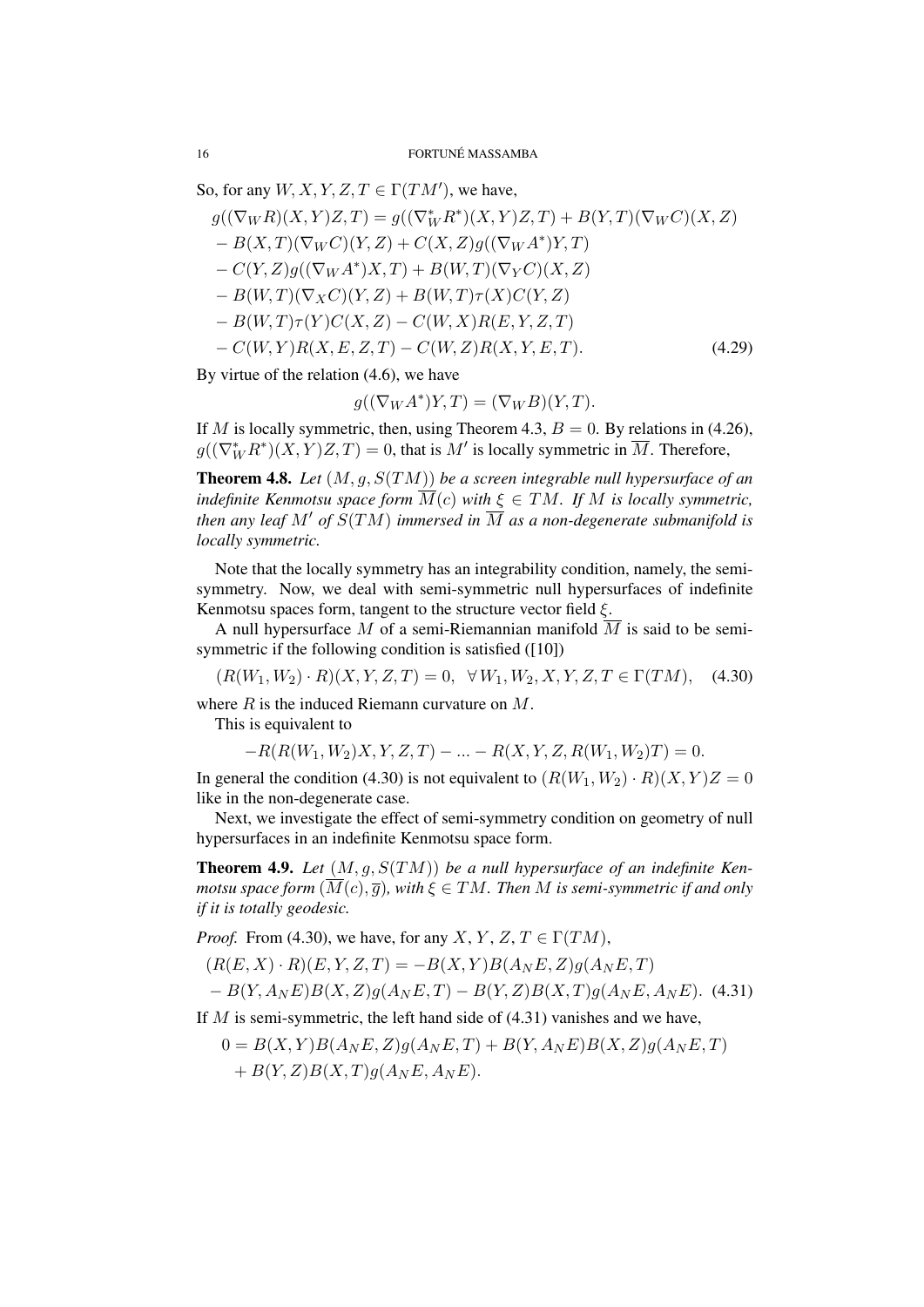So, for any  $W, X, Y, Z, T \in \Gamma(TM')$ , we have,

 $g((\nabla_W R)(X, Y)Z, T) = g((\nabla_W^* R^*)(X, Y)Z, T) + B(Y, T)(\nabla_W C)(X, Z)$ *− B*(*X, T*)(*∇<sup>W</sup> C*)(*Y, Z*) + *C*(*X, Z*)*g*((*∇<sup>W</sup> A ∗* )*Y, T*) *− C*(*Y, Z*)*g*((*∇<sup>W</sup> A ∗* )*X, T*) + *B*(*W, T*)(*∇<sup>Y</sup> C*)(*X, Z*) *− B*(*W, T*)(*∇XC*)(*Y, Z*) + *B*(*W, T*)*τ* (*X*)*C*(*Y, Z*) *− B*(*W, T*)*τ* (*Y* )*C*(*X, Z*) *− C*(*W, X*)*R*(*E, Y, Z, T*) *− C*(*W, Y* )*R*(*X, E, Z, T*) *− C*(*W, Z*)*R*(*X, Y, E, T*)*.* (4.29)

By virtue of the relation (4.6), we have

$$
g((\nabla_W A^*)Y, T) = (\nabla_W B)(Y, T).
$$

If *M* is locally symmetric, then, using Theorem 4.3,  $B = 0$ . By relations in (4.26),  $g((\nabla_W^* R^*)(X, Y)Z, T) = 0$ , that is  $M'$  is locally symmetric in  $M$ . Therefore,

Theorem 4.8. *Let* (*M, g, S*(*TM*)) *be a screen integrable null hypersurface of an indefinite Kenmotsu space form*  $\overline{M}(c)$  *with*  $\xi \in TM$ *. If M is locally symmetric, then any leaf*  $M'$  *of*  $S(TM)$  *immersed in*  $\overline{M}$  *as a non-degenerate submanifold is locally symmetric.*

Note that the locally symmetry has an integrability condition, namely, the semisymmetry. Now, we deal with semi-symmetric null hypersurfaces of indefinite Kenmotsu spaces form, tangent to the structure vector field *ξ*.

A null hypersurface *M* of a semi-Riemannian manifold *M* is said to be semisymmetric if the following condition is satisfied ([10])

 $(R(W_1, W_2) \cdot R)(X, Y, Z, T) = 0, \forall W_1, W_2, X, Y, Z, T \in \Gamma(TM),$  (4.30)

where *R* is the induced Riemann curvature on *M*.

This is equivalent to

*−R*(*R*(*W*1*, W*2)*X, Y, Z, T*) *− ... − R*(*X, Y, Z, R*(*W*1*, W*2)*T*) = 0*.*

In general the condition (4.30) is not equivalent to  $(R(W_1, W_2) \cdot R)(X, Y)Z = 0$ like in the non-degenerate case.

Next, we investigate the effect of semi-symmetry condition on geometry of null hypersurfaces in an indefinite Kenmotsu space form.

Theorem 4.9. *Let* (*M, g, S*(*TM*)) *be a null hypersurface of an indefinite Kenmotsu space form*  $(\overline{M}(c), \overline{q})$ *, with*  $\xi \in TM$ *. Then M is semi-symmetric if and only if it is totally geodesic.*

*Proof.* From (4.30), we have, for any *X*, *Y*, *Z*, *T*  $\in \Gamma(TM)$ ,

$$
(R(E, X) \cdot R)(E, Y, Z, T) = -B(X, Y)B(A_N E, Z)g(A_N E, T)
$$
  
- B(Y, A\_N E)B(X, Z)g(A\_N E, T) - B(Y, Z)B(X, T)g(A\_N E, A\_N E). (4.31)

If *M* is semi-symmetric, the left hand side of (4.31) vanishes and we have,

$$
0 = B(X,Y)B(A_NE,Z)g(A_NE,T) + B(Y,A_NE)B(X,Z)g(A_NE,T)
$$
  
+ B(Y,Z)B(X,T)g(A\_NE,A\_NE).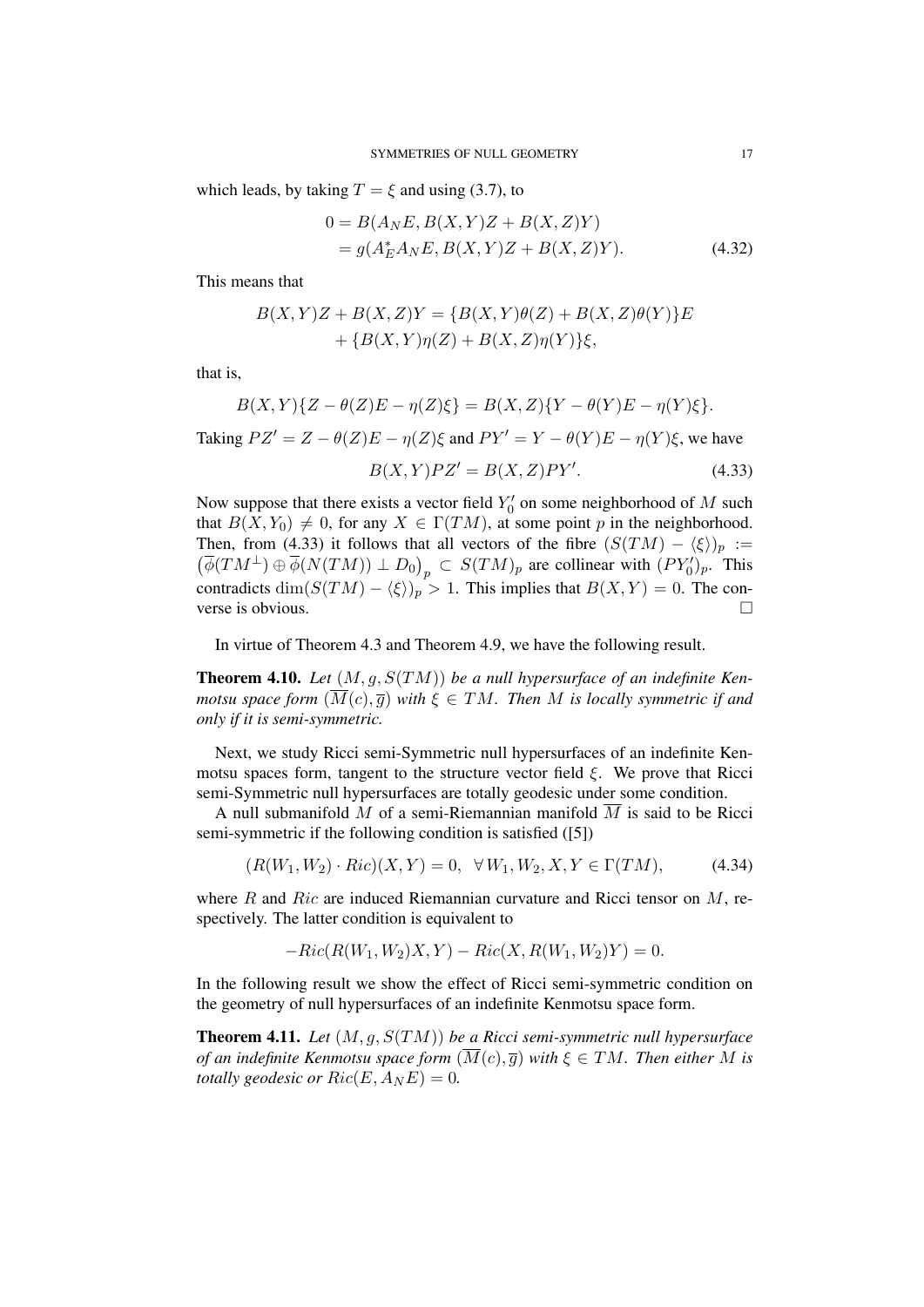which leads, by taking  $T = \xi$  and using (3.7), to

$$
0 = B(A_N E, B(X, Y)Z + B(X, Z)Y)
$$
  
=  $g(A_E^* A_N E, B(X, Y)Z + B(X, Z)Y).$  (4.32)

This means that

$$
B(X,Y)Z + B(X,Z)Y = \{B(X,Y)\theta(Z) + B(X,Z)\theta(Y)\}E + \{B(X,Y)\eta(Z) + B(X,Z)\eta(Y)\}\xi,
$$

that is,

$$
B(X,Y)\{Z-\theta(Z)E-\eta(Z)\xi\}=B(X,Z)\{Y-\theta(Y)E-\eta(Y)\xi\}.
$$
  
Taking  $PZ'=Z-\theta(Z)E-\eta(Z)\xi$  and  $PY'=Y-\theta(Y)E-\eta(Y)\xi$ , we have  

$$
B(X,Y)PZ'=B(X,Z)PY'.
$$
 (4.33)

Now suppose that there exists a vector field  $Y_0'$  on some neighborhood of M such that  $B(X, Y_0) \neq 0$ , for any  $X \in \Gamma(TM)$ , at some point p in the neighborhood. Then, from (4.33) it follows that all vectors of the fibre  $(S(TM) - \langle \xi \rangle)_p :=$  $(\overline{\phi}(TM^{\perp}) \oplus \overline{\phi}(N(TM)) \perp D_0)_p \subset S(TM)_p$  are collinear with  $(PY'_0)_p$ . This contradicts dim $(S(TM) - \langle \xi \rangle)_p$  > 1. This implies that  $B(X, Y) = 0$ . The converse is obvious.

In virtue of Theorem 4.3 and Theorem 4.9, we have the following result.

Theorem 4.10. *Let* (*M, g, S*(*TM*)) *be a null hypersurface of an indefinite Kenmotsu space form*  $(\overline{M}(c), \overline{g})$  *with*  $\xi \in TM$ *. Then M is locally symmetric if and only if it is semi-symmetric.*

Next, we study Ricci semi-Symmetric null hypersurfaces of an indefinite Kenmotsu spaces form, tangent to the structure vector field *ξ*. We prove that Ricci semi-Symmetric null hypersurfaces are totally geodesic under some condition.

A null submanifold M of a semi-Riemannian manifold  $\overline{M}$  is said to be Ricci semi-symmetric if the following condition is satisfied ([5])

$$
(R(W_1, W_2) \cdot Ric)(X, Y) = 0, \quad \forall \, W_1, W_2, X, Y \in \Gamma(TM), \tag{4.34}
$$

where *R* and *Ric* are induced Riemannian curvature and Ricci tensor on *M*, respectively. The latter condition is equivalent to

$$
-Ric(R(W_1, W_2)X, Y) - Ric(X, R(W_1, W_2)Y) = 0.
$$

In the following result we show the effect of Ricci semi-symmetric condition on the geometry of null hypersurfaces of an indefinite Kenmotsu space form.

Theorem 4.11. *Let* (*M, g, S*(*TM*)) *be a Ricci semi-symmetric null hypersurface of an indefinite Kenmotsu space form*  $(\overline{M}(c), \overline{g})$  *with*  $\xi \in TM$ *. Then either M is totally geodesic or*  $Ric(E, A_{N}E) = 0$ .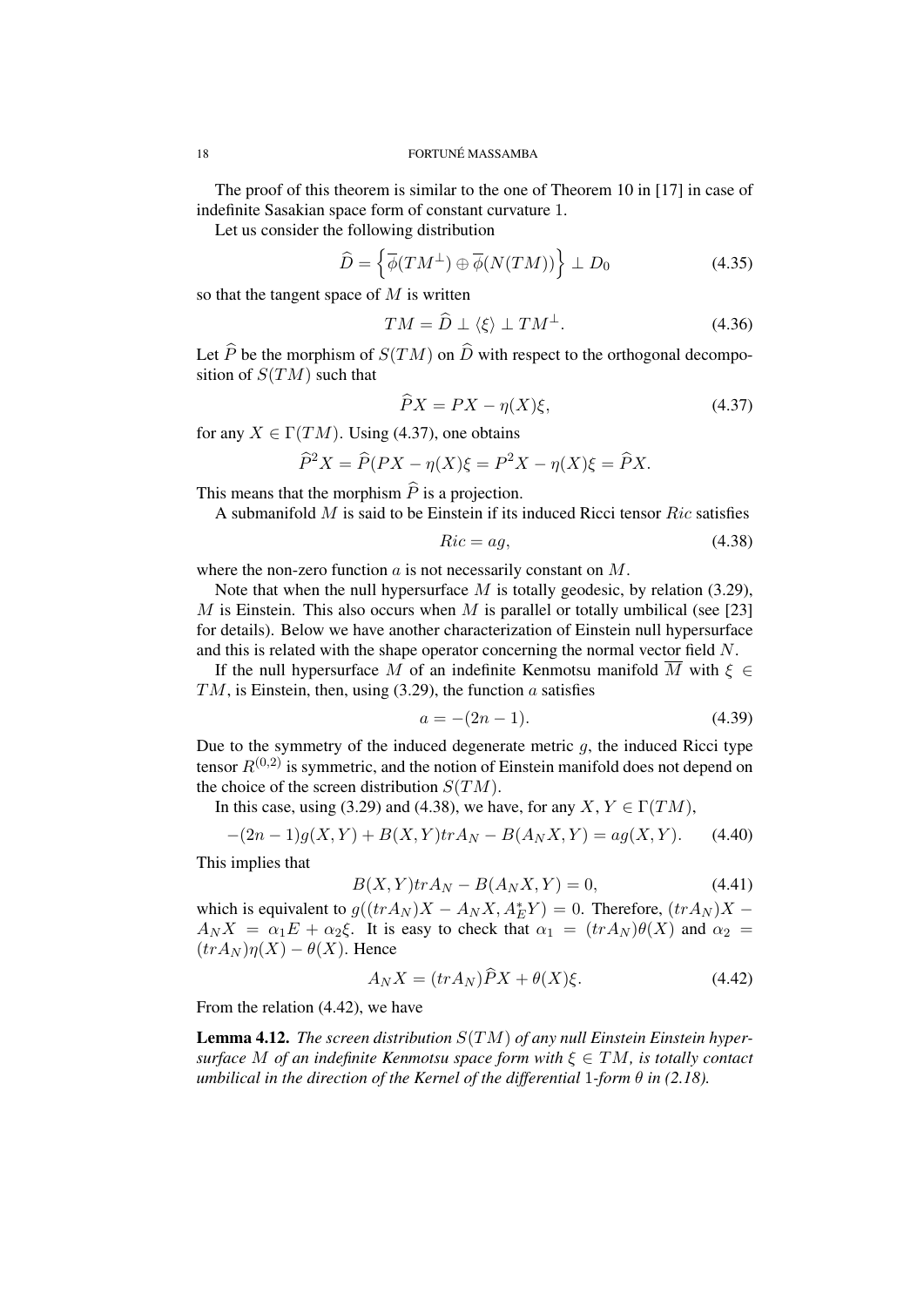The proof of this theorem is similar to the one of Theorem 10 in [17] in case of indefinite Sasakian space form of constant curvature 1.

Let us consider the following distribution

$$
\widehat{D} = \left\{ \overline{\phi}(TM^{\perp}) \oplus \overline{\phi}(N(TM)) \right\} \perp D_0 \tag{4.35}
$$

so that the tangent space of *M* is written

$$
TM = \overline{D} \perp \langle \xi \rangle \perp TM^{\perp}.
$$
 (4.36)

Let  $\widehat{P}$  be the morphism of  $S(TM)$  on  $\widehat{D}$  with respect to the orthogonal decomposition of *S*(*TM*) such that

$$
\widehat{P}X = PX - \eta(X)\xi,\tag{4.37}
$$

for any  $X \in \Gamma(TM)$ . Using (4.37), one obtains

$$
\widehat{P}^2 X = \widehat{P}(PX - \eta(X)\xi) = P^2 X - \eta(X)\xi = \widehat{P}X.
$$

This means that the morphism  $\widehat{P}$  is a projection.

A submanifold *M* is said to be Einstein if its induced Ricci tensor *Ric* satisfies

$$
Ric = ag,\t\t(4.38)
$$

where the non-zero function *a* is not necessarily constant on *M*.

Note that when the null hypersurface *M* is totally geodesic, by relation (3.29), *M* is Einstein. This also occurs when *M* is parallel or totally umbilical (see [23] for details). Below we have another characterization of Einstein null hypersurface and this is related with the shape operator concerning the normal vector field *N*.

If the null hypersurface *M* of an indefinite Kenmotsu manifold  $\overline{M}$  with  $\xi \in$ *TM*, is Einstein, then, using (3.29), the function *a* satisfies

$$
a = -(2n - 1). \t(4.39)
$$

Due to the symmetry of the induced degenerate metric  $q$ , the induced Ricci type tensor  $R^{(0,2)}$  is symmetric, and the notion of Einstein manifold does not depend on the choice of the screen distribution *S*(*TM*).

In this case, using (3.29) and (4.38), we have, for any *X*,  $Y \in \Gamma(TM)$ ,

$$
-(2n-1)g(X,Y) + B(X,Y)trA_N - B(A_NX,Y) = ag(X,Y).
$$
 (4.40)

This implies that

$$
B(X,Y)tr A_N - B(A_N X,Y) = 0,\t(4.41)
$$

which is equivalent to  $g((tr A_N)X - A_N X, A_E^* Y) = 0$ . Therefore,  $(tr A_N)X A_N X = \alpha_1 E + \alpha_2 \xi$ . It is easy to check that  $\alpha_1 = (tr A_N) \theta(X)$  and  $\alpha_2 =$  $(trA_N)\eta(X) - \theta(X)$ . Hence

$$
A_N X = (tr A_N) \hat{P} X + \theta(X) \xi.
$$
 (4.42)

From the relation (4.42), we have

Lemma 4.12. *The screen distribution S*(*TM*) *of any null Einstein Einstein hypersurface M of an indefinite Kenmotsu space form with ξ ∈ TM, is totally contact umbilical in the direction of the Kernel of the differential* 1*-form*  $\theta$  *in* (2.18).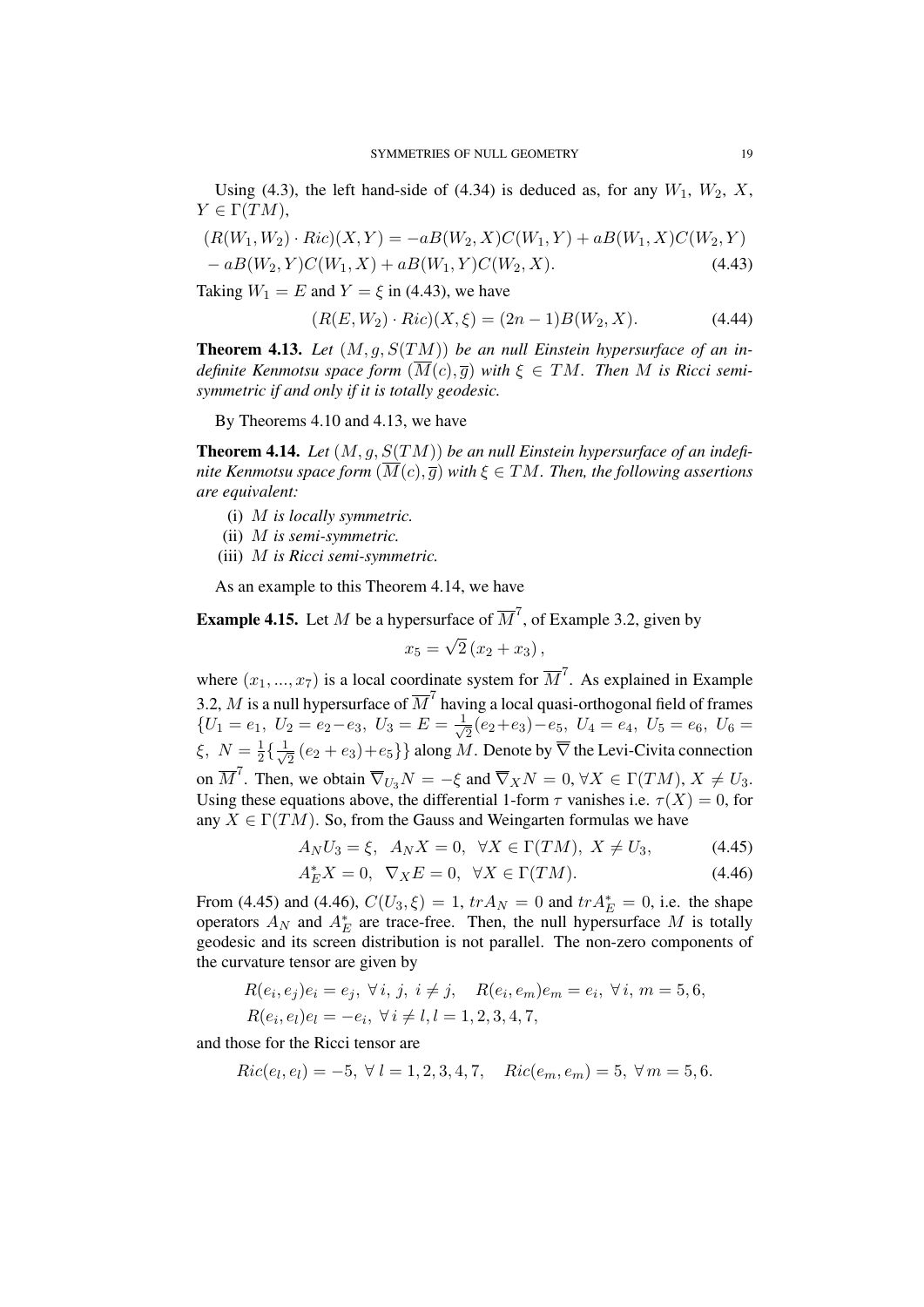Using (4.3), the left hand-side of (4.34) is deduced as, for any  $W_1$ ,  $W_2$ ,  $X$ ,  $Y \in \Gamma(TM)$ ,

$$
(R(W_1, W_2) \cdot Ric)(X, Y) = -aB(W_2, X)C(W_1, Y) + aB(W_1, X)C(W_2, Y) -aB(W_2, Y)C(W_1, X) + aB(W_1, Y)C(W_2, X).
$$
\n(4.43)

Taking  $W_1 = E$  and  $Y = \xi$  in (4.43), we have

$$
(R(E, W_2) \cdot Ric)(X, \xi) = (2n - 1)B(W_2, X). \tag{4.44}
$$

Theorem 4.13. *Let* (*M, g, S*(*TM*)) *be an null Einstein hypersurface of an indefinite Kenmotsu space form*  $(M(c), \overline{q})$  *with*  $\xi \in TM$ . Then M is Ricci semi*symmetric if and only if it is totally geodesic.*

By Theorems 4.10 and 4.13, we have

Theorem 4.14. *Let* (*M, g, S*(*TM*)) *be an null Einstein hypersurface of an indefinite Kenmotsu space form*  $(\overline{M}(c), \overline{q})$  *with*  $\xi \in TM$ *. Then, the following assertions are equivalent:*

- (i) *M is locally symmetric.*
- (ii) *M is semi-symmetric.*
- (iii) *M is Ricci semi-symmetric.*

As an example to this Theorem 4.14, we have

**Example 4.15.** Let *M* be a hypersurface of  $\overline{M}^7$ , of Example 3.2, given by

$$
x_5 = \sqrt{2}(x_2 + x_3),
$$

where  $(x_1, ..., x_7)$  is a local coordinate system for  $\overline{M}^7$ . As explained in Example 3.2,  $M$  is a null hypersurface of  $\overline{M}^7$  having a local quasi-orthogonal field of frames  ${U_1 = e_1, U_2 = e_2 - e_3, U_3 = E = \frac{1}{\sqrt{2}}$  $\frac{1}{2}(e_2+e_3)-e_5$ ,  $U_4=e_4$ ,  $U_5=e_6$ ,  $U_6=\frac{1}{2}$ ξ,  $N = \frac{1}{2}$  $\frac{1}{2}$ { $\frac{1}{\sqrt{2}}$ 2 (*e*<sup>2</sup> + *e*3)+*e*5*}}* along *M*. Denote by *∇* the Levi-Civita connection on  $\overline{M}^7$ . Then, we obtain  $\overline{\nabla}_{U_3} N = -\xi$  and  $\overline{\nabla}_X N = 0$ ,  $\forall X \in \Gamma(TM)$ ,  $X \neq U_3$ . Using these equations above, the differential 1-form  $\tau$  vanishes i.e.  $\tau(X) = 0$ , for any  $X \in \Gamma(TM)$ . So, from the Gauss and Weingarten formulas we have

$$
A_N U_3 = \xi, \quad A_N X = 0, \quad \forall X \in \Gamma(TM), \ X \neq U_3,\tag{4.45}
$$

$$
A_E^* X = 0, \quad \nabla_X E = 0, \quad \forall X \in \Gamma(TM). \tag{4.46}
$$

From (4.45) and (4.46),  $C(U_3, \xi) = 1$ ,  $tr A_N = 0$  and  $tr A_E^* = 0$ , i.e. the shape operators  $A_N$  and  $A_E^*$  are trace-free. Then, the null hypersurface M is totally geodesic and its screen distribution is not parallel. The non-zero components of the curvature tensor are given by

$$
R(e_i, e_j)e_i = e_j, \forall i, j, i \neq j, \quad R(e_i, e_m)e_m = e_i, \forall i, m = 5, 6, R(e_i, e_l)e_l = -e_i, \forall i \neq l, l = 1, 2, 3, 4, 7,
$$

and those for the Ricci tensor are

$$
Ric(e_l, e_l) = -5, \ \forall \ l = 1, 2, 3, 4, 7, \ \ Ric(e_m, e_m) = 5, \ \forall \ m = 5, 6.
$$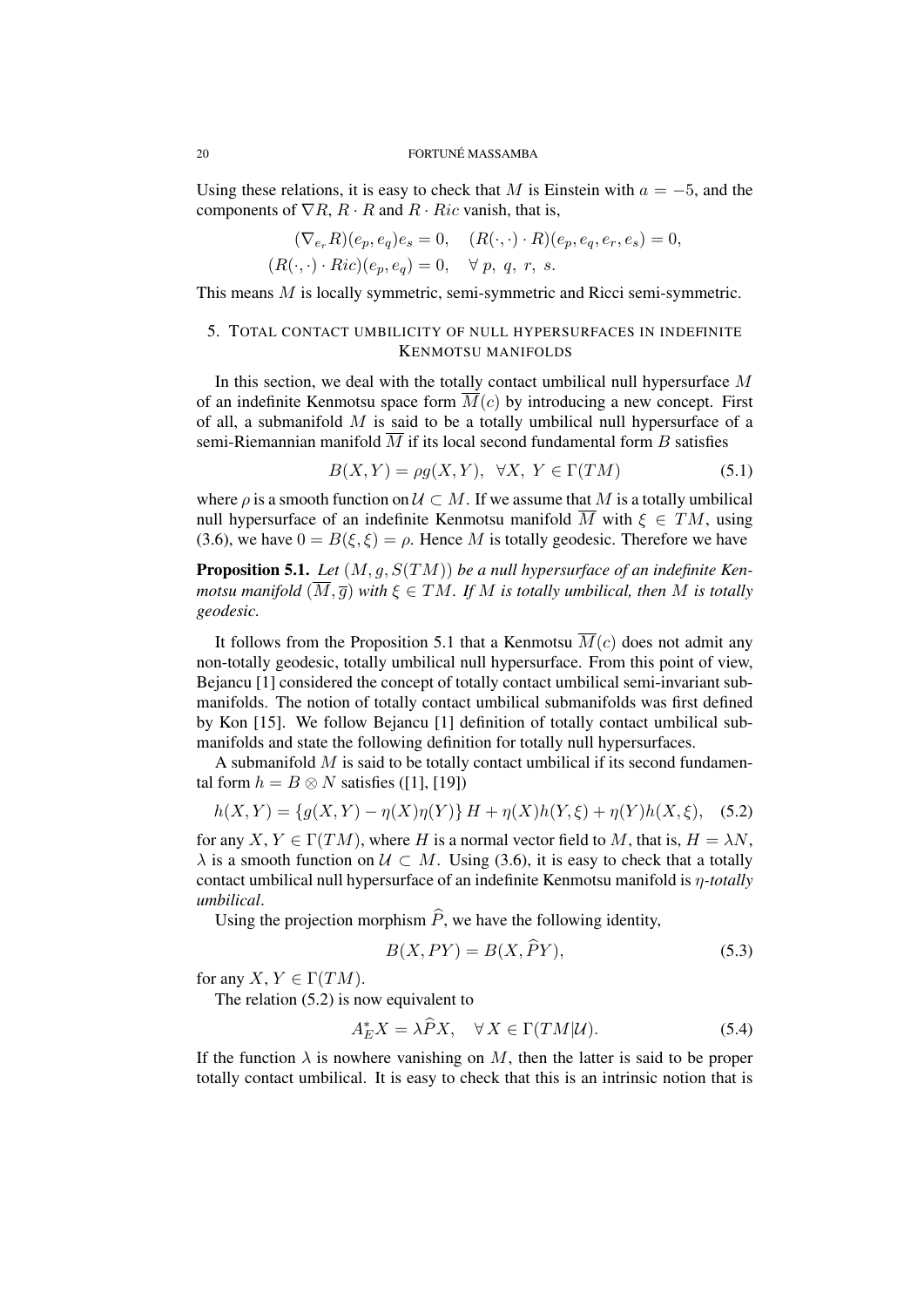Using these relations, it is easy to check that *M* is Einstein with  $a = -5$ , and the components of  $\nabla R$ ,  $R \cdot R$  and  $R \cdot Ric$  vanish, that is,

$$
(\nabla_{e_r} R)(e_p, e_q)e_s = 0, \quad (R(\cdot, \cdot) \cdot R)(e_p, e_q, e_r, e_s) = 0,
$$
  

$$
(R(\cdot, \cdot) \cdot Ric)(e_p, e_q) = 0, \quad \forall p, q, r, s.
$$

This means *M* is locally symmetric, semi-symmetric and Ricci semi-symmetric.

# 5. TOTAL CONTACT UMBILICITY OF NULL HYPERSURFACES IN INDEFINITE KENMOTSU MANIFOLDS

In this section, we deal with the totally contact umbilical null hypersurface *M* of an indefinite Kenmotsu space form  $\overline{M}(c)$  by introducing a new concept. First of all, a submanifold *M* is said to be a totally umbilical null hypersurface of a semi-Riemannian manifold  $\overline{M}$  if its local second fundamental form *B* satisfies

$$
B(X,Y) = \rho g(X,Y), \quad \forall X, \ Y \in \Gamma(TM) \tag{5.1}
$$

where  $\rho$  is a smooth function on  $\mathcal{U} \subset M$ . If we assume that M is a totally umbilical null hypersurface of an indefinite Kenmotsu manifold  $\overline{M}$  with  $\xi \in TM$ , using (3.6), we have  $0 = B(\xi, \xi) = \rho$ . Hence *M* is totally geodesic. Therefore we have

Proposition 5.1. *Let* (*M, g, S*(*TM*)) *be a null hypersurface of an indefinite Kenmotsu manifold*  $(\overline{M}, \overline{q})$  *with*  $\xi \in TM$ *. If M is totally umbilical, then M is totally geodesic.*

It follows from the Proposition 5.1 that a Kenmotsu  $\overline{M}(c)$  does not admit any non-totally geodesic, totally umbilical null hypersurface. From this point of view, Bejancu [1] considered the concept of totally contact umbilical semi-invariant submanifolds. The notion of totally contact umbilical submanifolds was first defined by Kon [15]. We follow Bejancu [1] definition of totally contact umbilical submanifolds and state the following definition for totally null hypersurfaces.

A submanifold *M* is said to be totally contact umbilical if its second fundamental form  $h = B \otimes N$  satisfies ([1], [19])

$$
h(X,Y) = \{g(X,Y) - \eta(X)\eta(Y)\}H + \eta(X)h(Y,\xi) + \eta(Y)h(X,\xi), \quad (5.2)
$$

for any *X*,  $Y \in \Gamma(TM)$ , where *H* is a normal vector field to *M*, that is,  $H = \lambda N$ ,  $\lambda$  is a smooth function on  $\mathcal{U} \subset M$ . Using (3.6), it is easy to check that a totally contact umbilical null hypersurface of an indefinite Kenmotsu manifold is *η-totally umbilical*.

Using the projection morphism  $\hat{P}$ , we have the following identity,

$$
B(X, PY) = B(X, PY),\tag{5.3}
$$

for any  $X, Y \in \Gamma(TM)$ .

The relation (5.2) is now equivalent to

$$
A_E^* X = \lambda \tilde{P} X, \quad \forall X \in \Gamma(TM|\mathcal{U}). \tag{5.4}
$$

If the function  $\lambda$  is nowhere vanishing on M, then the latter is said to be proper totally contact umbilical. It is easy to check that this is an intrinsic notion that is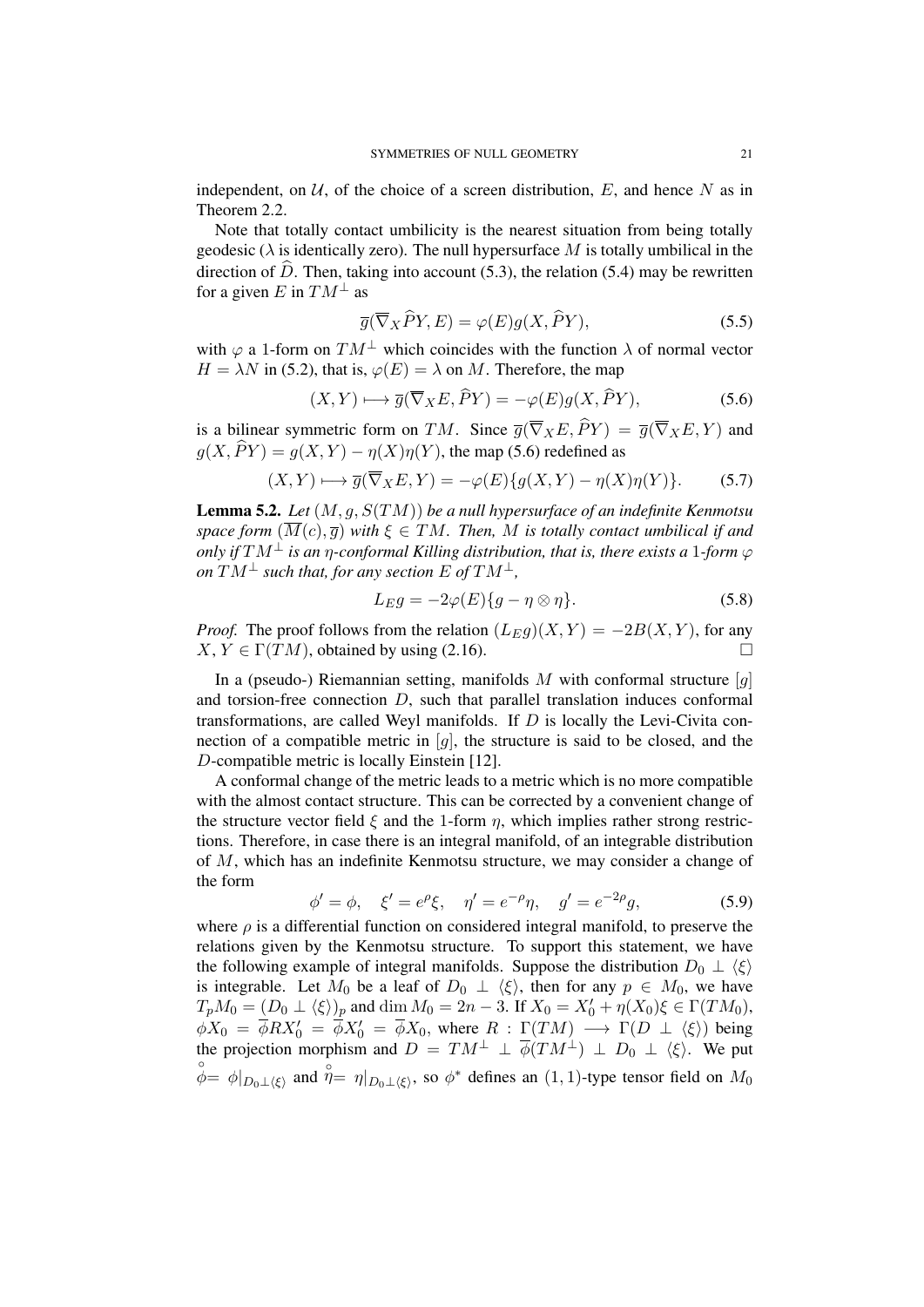independent, on  $U$ , of the choice of a screen distribution,  $E$ , and hence  $N$  as in Theorem 2.2.

Note that totally contact umbilicity is the nearest situation from being totally geodesic ( $\lambda$  is identically zero). The null hypersurface M is totally umbilical in the direction of  $\hat{D}$ . Then, taking into account (5.3), the relation (5.4) may be rewritten for a given *E* in  $TM^{\perp}$  as

$$
\overline{g}(\overline{\nabla}_X \widehat{P} Y, E) = \varphi(E) g(X, \widehat{P} Y), \tag{5.5}
$$

with  $\varphi$  a 1-form on  $TM^{\perp}$  which coincides with the function  $\lambda$  of normal vector  $H = \lambda N$  in (5.2), that is,  $\varphi(E) = \lambda$  on *M*. Therefore, the map

$$
(X,Y)\longmapsto\overline{g}(\overline{\nabla}_X E,\widehat{P}Y)=-\varphi(E)g(X,\widehat{P}Y),\qquad(5.6)
$$

is a bilinear symmetric form on *TM*. Since  $\overline{g}(\overline{\nabla}_X E, \widehat{P}Y) = \overline{g}(\overline{\nabla}_X E, Y)$  and  $q(X, \widehat{P}Y) = q(X, Y) - \eta(X)\eta(Y)$ , the map (5.6) redefined as

$$
(X,Y)\longmapsto\overline{g}(\overline{\nabla}_X E,Y)=-\varphi(E)\{g(X,Y)-\eta(X)\eta(Y)\}.\tag{5.7}
$$

Lemma 5.2. *Let* (*M, g, S*(*TM*)) *be a null hypersurface of an indefinite Kenmotsu space form*  $(\overline{M}(c), \overline{g})$  *with*  $\xi \in TM$ *. Then, M is totally contact umbilical if and only if*  $TM^{\perp}$  *is an*  $\eta$ *-conformal Killing distribution, that is, there exists a* 1*-form*  $\varphi$  $\overline{C}$  *on*  $\overline{TM}$ <sup>⊥</sup> *such that, for any section*  $E$  *of*  $TM$ <sup>⊥</sup>*,* 

$$
L_E g = -2\varphi(E)\{g - \eta \otimes \eta\}.
$$
\n(5.8)

*Proof.* The proof follows from the relation  $(L_{E}q)(X, Y) = -2B(X, Y)$ , for any  $X, Y \in \Gamma(TM)$ , obtained by using (2.16).

In a (pseudo-) Riemannian setting, manifolds *M* with conformal structure [*g*] and torsion-free connection *D*, such that parallel translation induces conformal transformations, are called Weyl manifolds. If *D* is locally the Levi-Civita connection of a compatible metric in  $[q]$ , the structure is said to be closed, and the *D*-compatible metric is locally Einstein [12].

A conformal change of the metric leads to a metric which is no more compatible with the almost contact structure. This can be corrected by a convenient change of the structure vector field  $\xi$  and the 1-form  $\eta$ , which implies rather strong restrictions. Therefore, in case there is an integral manifold, of an integrable distribution of *M*, which has an indefinite Kenmotsu structure, we may consider a change of the form

$$
\phi' = \phi, \quad \xi' = e^{\rho} \xi, \quad \eta' = e^{-\rho} \eta, \quad g' = e^{-2\rho} g,
$$
\n(5.9)

where  $\rho$  is a differential function on considered integral manifold, to preserve the relations given by the Kenmotsu structure. To support this statement, we have the following example of integral manifolds. Suppose the distribution  $D_0 \perp \langle \xi \rangle$ is integrable. Let  $M_0$  be a leaf of  $D_0 \perp \langle \xi \rangle$ , then for any  $p \in M_0$ , we have  $T_pM_0 = (D_0 \perp \langle \xi \rangle)_p$  and dim  $M_0 = 2n - 3$ . If  $X_0 = X'_0 + \eta(X_0)\xi \in \Gamma(TM_0)$ ,  $\phi X_0 = \phi R X_0' = \phi X_0' = \phi X_0$ , where  $R : \Gamma(TM) \longrightarrow \Gamma(D \perp \langle \xi \rangle)$  being the projection morphism and  $D = TM^{\perp} \perp \phi(TM^{\perp}) \perp D_0 \perp \langle \xi \rangle$ . We put  $\phi = \phi|_{D_0 ⊥ \langle ξ \rangle}$  and  $\hat{\eta} = \eta|_{D_0 ⊥ \langle ξ \rangle}$ , so  $\phi^*$  defines an  $(1, 1)$ -type tensor field on  $M_0$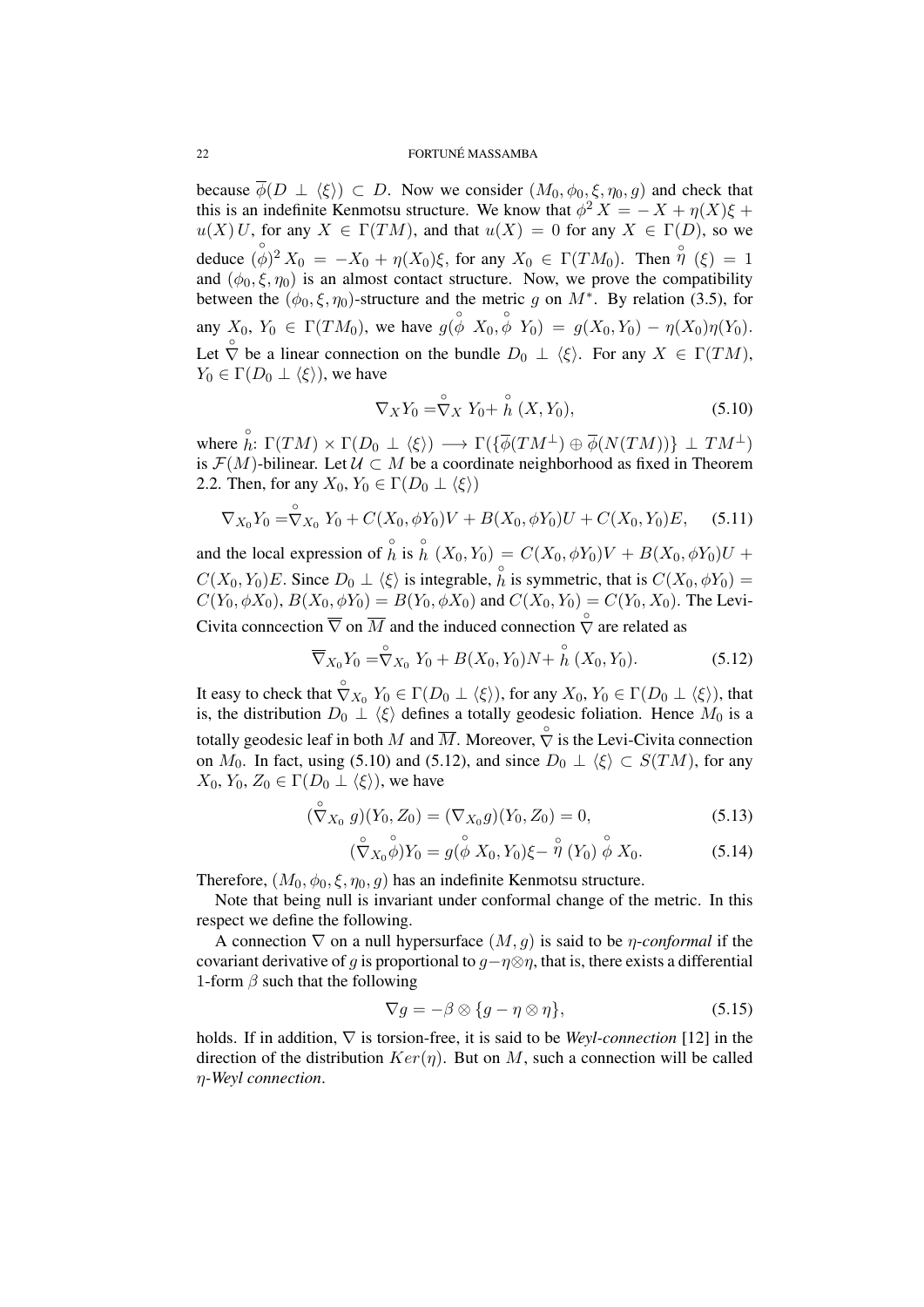#### 22 FORTUNE MASSAMBA ´

because  $\overline{\phi}(D \perp \langle \xi \rangle) \subset D$ . Now we consider  $(M_0, \phi_0, \xi, \eta_0, g)$  and check that this is an indefinite Kenmotsu structure. We know that  $\phi^2 X = -X + \eta(X)\xi +$  $u(X)U$ , for any  $X \in \Gamma(TM)$ , and that  $u(X) = 0$  for any  $X \in \Gamma(D)$ , so we deduce  $(\phi)^2 X_0 = -X_0 + \eta(X_0)\xi$ , for any  $X_0 \in \Gamma(TM_0)$ . Then  $\hat{\eta}(\xi) = 1$ and  $(\phi_0, \xi, \eta_0)$  is an almost contact structure. Now, we prove the compatibility between the  $(\phi_0, \xi, \eta_0)$ -structure and the metric *g* on  $M^*$ . By relation (3.5), for any  $X_0, Y_0 \in \Gamma(TM_0)$ , we have  $g(\stackrel{\circ}{\phi} X_0, \stackrel{\circ}{\phi} Y_0) = g(X_0, Y_0) - \eta(X_0)\eta(Y_0)$ . Let  $\bigcirc$  be a linear connection on the bundle  $D_0 \perp \langle \xi \rangle$ . For any  $X \in \Gamma(TM)$ ,  $Y_0 \in \Gamma(D_0 \perp \langle \xi \rangle)$ , we have

$$
\nabla_X Y_0 = \stackrel{\circ}{\nabla} X Y_0 + \stackrel{\circ}{h} (X, Y_0), \tag{5.10}
$$

 $\forall$  where  $\stackrel{\circ}{h}: \Gamma(TM) \times \Gamma(D_0 \perp \langle \xi \rangle) \longrightarrow \Gamma(\{\overline{\phi}(TM^{\perp}) \oplus \overline{\phi}(N(TM))\} \perp TM^{\perp})$ is  $\mathcal{F}(M)$ -bilinear. Let  $\mathcal{U} \subset M$  be a coordinate neighborhood as fixed in Theorem 2.2. Then, for any  $X_0, Y_0 \in \Gamma(D_0 \perp \langle \xi \rangle)$ 

$$
\nabla_{X_0} Y_0 = \stackrel{\circ}{\nabla}_{X_0} Y_0 + C(X_0, \phi Y_0) V + B(X_0, \phi Y_0) U + C(X_0, Y_0) E, \quad (5.11)
$$

and the local expression of  $\hat{h}$  is  $\hat{h}$  ( $X_0, Y_0$ ) =  $C(X_0, \phi Y_0)V + B(X_0, \phi Y_0)U +$  $C(X_0, Y_0)E$ . Since  $D_0 \perp \langle \xi \rangle$  is integrable,  $\hat{h}$  is symmetric, that is  $C(X_0, \phi Y_0) =$ *C*(*Y*<sub>0</sub>*,*  $\phi$ *X*<sub>0</sub>), *B*(*X*<sub>0</sub>*,*  $\phi$ *Y*<sub>0</sub>) = *B*(*Y*<sub>0</sub>*,*  $\phi$ *X*<sub>0</sub>) and *C*(*X*<sub>0</sub>*, Y*<sub>0</sub>) = *C*(*Y*<sub>0</sub>*, X*<sub>0</sub>). The Levi-Civita conncection  $\overline{\nabla}$  on  $\overline{M}$  and the induced connection  $\overline{\nabla}$  are related as

$$
\overline{\nabla}_{X_0} Y_0 = \stackrel{\circ}{\nabla}_{X_0} Y_0 + B(X_0, Y_0) N + \stackrel{\circ}{h} (X_0, Y_0).
$$
 (5.12)

It easy to check that  $\hat{\nabla}_{X_0} Y_0 \in \Gamma(D_0 \perp \langle \xi \rangle)$ , for any  $X_0, Y_0 \in \Gamma(D_0 \perp \langle \xi \rangle)$ , that is, the distribution  $D_0 \perp \langle \xi \rangle$  defines a totally geodesic foliation. Hence  $M_0$  is a totally geodesic leaf in both  $M$  and  $\overline{M}$ . Moreover,  $\hat{\nabla}$  is the Levi-Civita connection on *M*<sub>0</sub>. In fact, using (5.10) and (5.12), and since  $D_0 \perp \langle \xi \rangle \subset S(TM)$ , for any  $X_0, Y_0, Z_0 \in \Gamma(D_0 \perp \langle \xi \rangle)$ , we have

$$
(\overset{\circ}{\nabla}X_0 \ g)(Y_0, Z_0) = (\nabla_{X_0}g)(Y_0, Z_0) = 0, \tag{5.13}
$$

$$
(\overset{\circ}{\nabla}X_0\overset{\circ}{\phi})Y_0=g(\overset{\circ}{\phi}X_0,Y_0)\xi-\overset{\circ}{\eta}(Y_0)\overset{\circ}{\phi}X_0.
$$
 (5.14)

Therefore,  $(M_0, \phi_0, \xi, \eta_0, g)$  has an indefinite Kenmotsu structure.

Note that being null is invariant under conformal change of the metric. In this respect we define the following.

A connection *∇* on a null hypersurface (*M, g*) is said to be *η*-*conformal* if the covariant derivative of *q* is proportional to  $q - \eta \otimes \eta$ , that is, there exists a differential 1-form *β* such that the following

$$
\nabla g = -\beta \otimes \{g - \eta \otimes \eta\},\tag{5.15}
$$

holds. If in addition, *∇* is torsion-free, it is said to be *Weyl-connection* [12] in the direction of the distribution  $Ker(\eta)$ . But on M, such a connection will be called *η-Weyl connection*.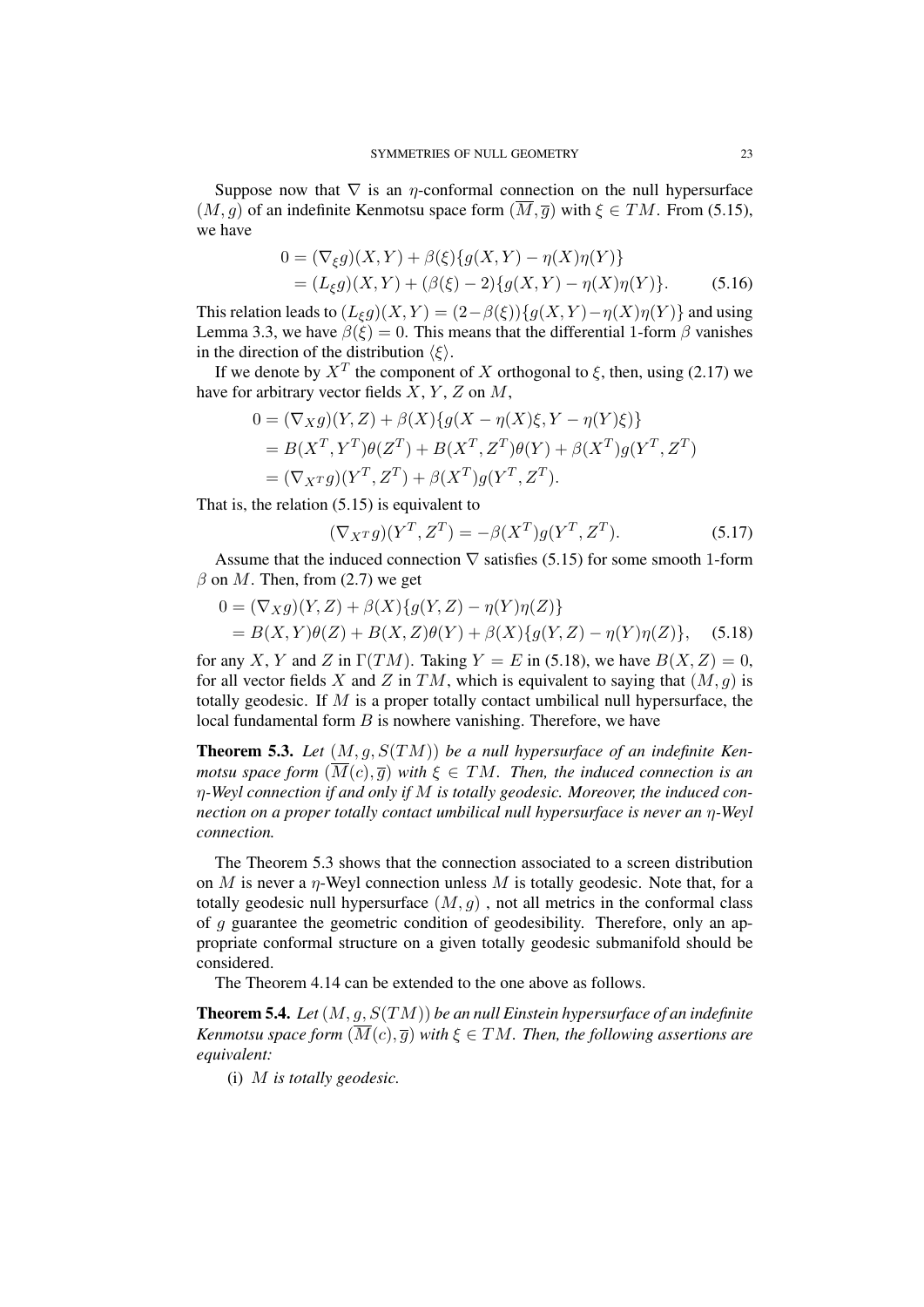Suppose now that  $\nabla$  is an *η*-conformal connection on the null hypersurface  $(M, g)$  of an indefinite Kenmotsu space form  $(\overline{M}, \overline{g})$  with  $\xi \in TM$ . From (5.15), we have

$$
0 = (\nabla_{\xi} g)(X, Y) + \beta(\xi) \{ g(X, Y) - \eta(X)\eta(Y) \}
$$
  
=  $(L_{\xi} g)(X, Y) + (\beta(\xi) - 2) \{ g(X, Y) - \eta(X)\eta(Y) \}.$  (5.16)

This relation leads to  $(L_{\xi}g)(X,Y) = (2 - \beta(\xi))\{g(X,Y) - \eta(X)\eta(Y)\}\$ and using Lemma 3.3, we have  $\beta(\xi) = 0$ . This means that the differential 1-form  $\beta$  vanishes in the direction of the distribution  $\langle \xi \rangle$ .

If we denote by  $X^T$  the component of *X* orthogonal to *ξ*, then, using (2.17) we have for arbitrary vector fields *X*, *Y* , *Z* on *M*,

$$
0 = (\nabla_X g)(Y, Z) + \beta(X)\{g(X - \eta(X)\xi, Y - \eta(Y)\xi)\}
$$
  
=  $B(X^T, Y^T)\theta(Z^T) + B(X^T, Z^T)\theta(Y) + \beta(X^T)g(Y^T, Z^T)$   
=  $(\nabla_{X^T} g)(Y^T, Z^T) + \beta(X^T)g(Y^T, Z^T).$ 

That is, the relation (5.15) is equivalent to

$$
(\nabla_X \tau g)(Y^T, Z^T) = -\beta(X^T)g(Y^T, Z^T). \tag{5.17}
$$

Assume that the induced connection  $\nabla$  satisfies (5.15) for some smooth 1-form  $\beta$  on *M*. Then, from (2.7) we get

$$
0 = (\nabla_X g)(Y, Z) + \beta(X)\{g(Y, Z) - \eta(Y)\eta(Z)\}
$$
  
=  $B(X, Y)\theta(Z) + B(X, Z)\theta(Y) + \beta(X)\{g(Y, Z) - \eta(Y)\eta(Z)\},$  (5.18)

for any *X*, *Y* and *Z* in  $\Gamma(TM)$ . Taking  $Y = E$  in (5.18), we have  $B(X, Z) = 0$ , for all vector fields X and Z in TM, which is equivalent to saying that  $(M, g)$  is totally geodesic. If *M* is a proper totally contact umbilical null hypersurface, the local fundamental form *B* is nowhere vanishing. Therefore, we have

Theorem 5.3. *Let* (*M, g, S*(*TM*)) *be a null hypersurface of an indefinite Kenmotsu space form*  $(\overline{M}(c), \overline{g})$  *with*  $\xi \in TM$ *. Then, the induced connection is an η-Weyl connection if and only if M is totally geodesic. Moreover, the induced connection on a proper totally contact umbilical null hypersurface is never an η-Weyl connection.*

The Theorem 5.3 shows that the connection associated to a screen distribution on *M* is never a *η*-Weyl connection unless *M* is totally geodesic. Note that, for a totally geodesic null hypersurface  $(M, g)$ , not all metrics in the conformal class of *g* guarantee the geometric condition of geodesibility. Therefore, only an appropriate conformal structure on a given totally geodesic submanifold should be considered.

The Theorem 4.14 can be extended to the one above as follows.

Theorem 5.4. *Let*(*M, g, S*(*TM*)) *be an null Einstein hypersurface of an indefinite Kenmotsu space form*  $(\overline{M}(c), \overline{q})$  *with*  $\xi \in TM$ *. Then, the following assertions are equivalent:*

(i) *M is totally geodesic.*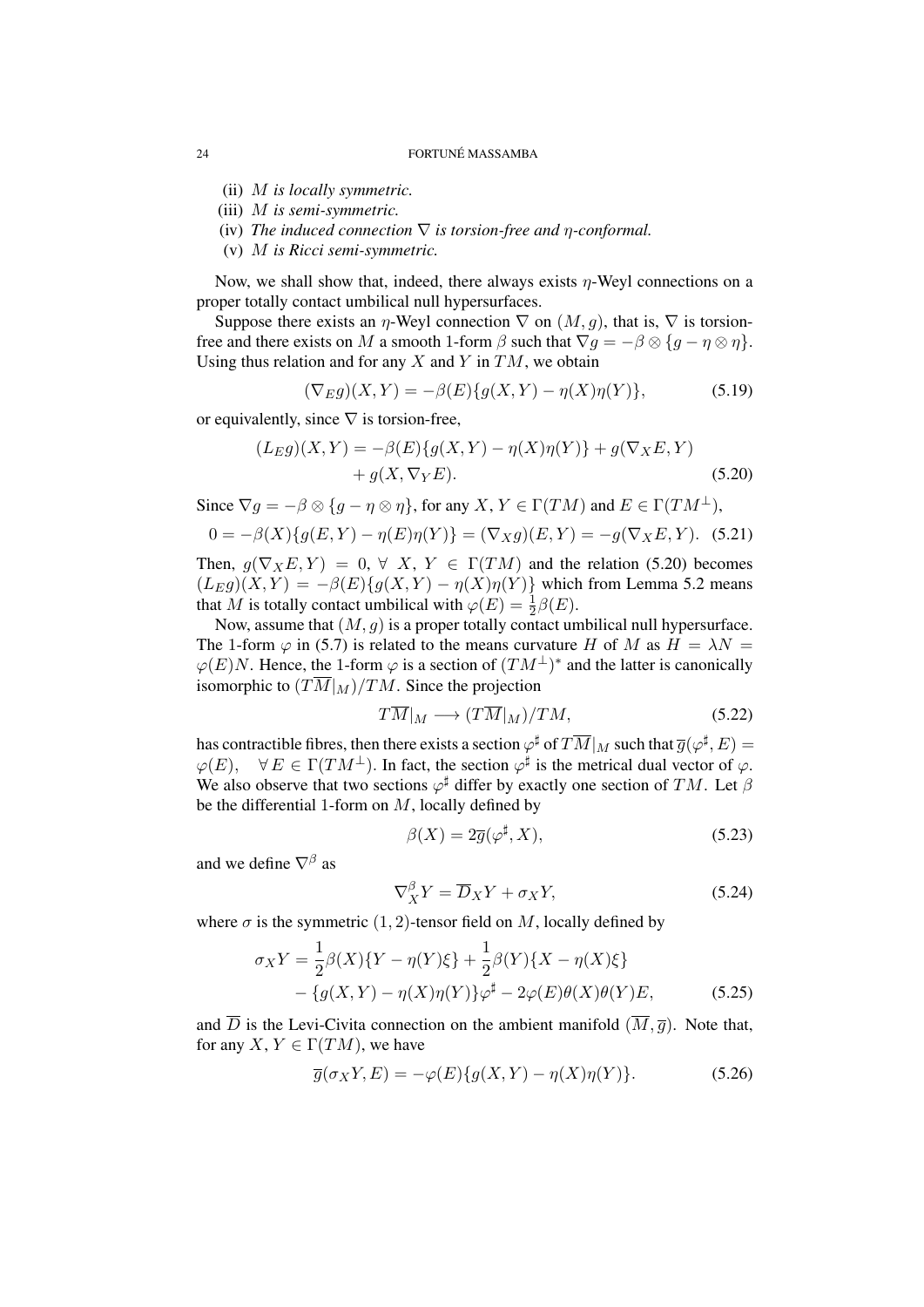#### 24 **FORTUNE MASSAMBA**

- (ii) *M is locally symmetric.*
- (iii) *M is semi-symmetric.*
- (iv) *The induced connection ∇ is torsion-free and η-conformal.*
- (v) *M is Ricci semi-symmetric.*

Now, we shall show that, indeed, there always exists *η*-Weyl connections on a proper totally contact umbilical null hypersurfaces.

Suppose there exists an *η*-Weyl connection  $\nabla$  on  $(M, q)$ , that is,  $\nabla$  is torsionfree and there exists on *M* a smooth 1-form  $\beta$  such that  $\nabla g = -\beta \otimes \{g - \eta \otimes \eta\}.$ Using thus relation and for any *X* and *Y* in *TM*, we obtain

$$
(\nabla_E g)(X, Y) = -\beta(E)\{g(X, Y) - \eta(X)\eta(Y)\},\tag{5.19}
$$

or equivalently, since *∇* is torsion-free,

$$
(L_{E}g)(X,Y) = -\beta(E)\{g(X,Y) - \eta(X)\eta(Y)\} + g(\nabla_{X}E,Y) + g(X,\nabla_{Y}E).
$$
 (5.20)

Since  $\nabla q = -\beta \otimes \{q - \eta \otimes \eta\}$ , for any *X*,  $Y \in \Gamma(TM)$  and  $E \in \Gamma(TM^{\perp})$ ,

$$
0 = -\beta(X)\{g(E, Y) - \eta(E)\eta(Y)\} = (\nabla_X g)(E, Y) = -g(\nabla_X E, Y). \tag{5.21}
$$

Then,  $g(\nabla_X E, Y) = 0, \forall X, Y \in \Gamma(TM)$  and the relation (5.20) becomes  $(L_E g)(X, Y) = -\beta(E)\{g(X, Y) - \eta(X)\eta(Y)\}\$  which from Lemma 5.2 means that *M* is totally contact umbilical with  $\varphi(E) = \frac{1}{2}\beta(E)$ .

Now, assume that (*M, g*) is a proper totally contact umbilical null hypersurface. The 1-form  $\varphi$  in (5.7) is related to the means curvature *H* of *M* as  $H = \lambda N =$  $\varphi(E)N$ . Hence, the 1-form  $\varphi$  is a section of  $(TM^{\perp})^*$  and the latter is canonically isomorphic to  $(T\overline{M}|_M)/TM$ . Since the projection

$$
T\overline{M}|_M \longrightarrow (T\overline{M}|_M)/TM,\tag{5.22}
$$

has contractible fibres, then there exists a section  $\varphi^\sharp$  of  $T\overline{M}|_M$  such that  $\overline{g}(\varphi^\sharp, E) =$  $\varphi(E)$ ,  $\forall E \in \Gamma(TM^{\perp})$ . In fact, the section  $\varphi^{\sharp}$  is the metrical dual vector of  $\varphi$ . We also observe that two sections *ϕ ]* differ by exactly one section of *TM*. Let *β* be the differential 1-form on *M*, locally defined by

$$
\beta(X) = 2\overline{g}(\varphi^{\sharp}, X), \tag{5.23}
$$

and we define *∇<sup>β</sup>* as

$$
\nabla_X^{\beta} Y = \overline{D}_X Y + \sigma_X Y,\tag{5.24}
$$

where  $\sigma$  is the symmetric (1, 2)-tensor field on *M*, locally defined by

$$
\sigma_X Y = \frac{1}{2}\beta(X)\{Y - \eta(Y)\xi\} + \frac{1}{2}\beta(Y)\{X - \eta(X)\xi\} - \{g(X,Y) - \eta(X)\eta(Y)\}\varphi^{\sharp} - 2\varphi(E)\theta(X)\theta(Y)E, \tag{5.25}
$$

and  $\overline{D}$  is the Levi-Civita connection on the ambient manifold  $(\overline{M}, \overline{q})$ . Note that, for any *X*,  $Y \in \Gamma(TM)$ , we have

$$
\overline{g}(\sigma_X Y, E) = -\varphi(E) \{ g(X, Y) - \eta(X)\eta(Y) \}.
$$
\n(5.26)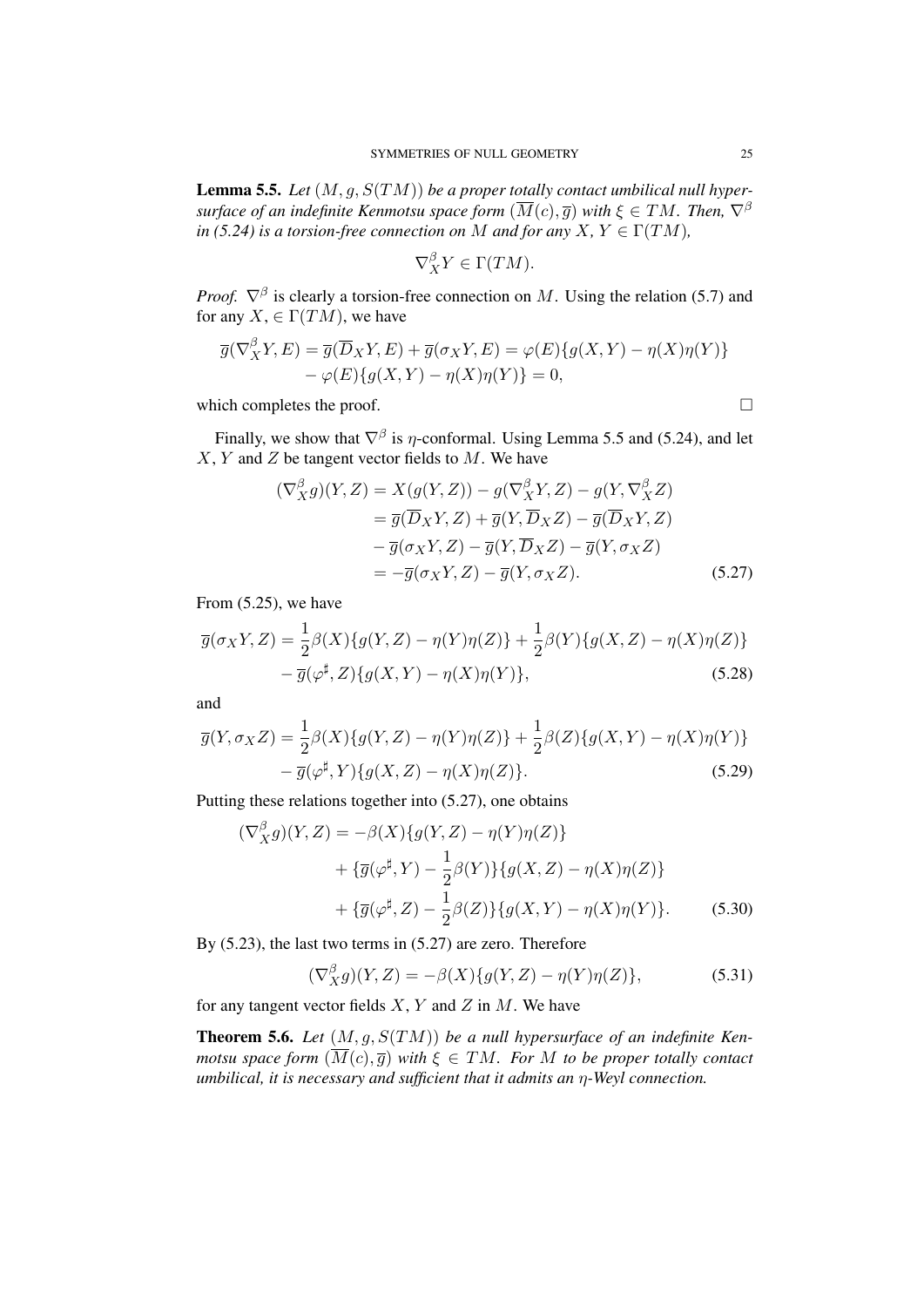Lemma 5.5. *Let* (*M, g, S*(*TM*)) *be a proper totally contact umbilical null hypersurface of an indefinite Kenmotsu space form*  $(\overline{M}(c), \overline{g})$  *with*  $\xi \in TM$ *. Then,*  $\nabla^{\beta}$ *in* (5.24) *is a torsion-free connection on M and for any*  $X, Y \in \Gamma(TM)$ ,

$$
\nabla_X^{\beta} Y \in \Gamma(TM).
$$

*Proof.*  $\nabla^{\beta}$  is clearly a torsion-free connection on *M*. Using the relation (5.7) and for any  $X \in \Gamma(TM)$ , we have

$$
\overline{g}(\nabla_X^{\beta} Y, E) = \overline{g}(\overline{D}_X Y, E) + \overline{g}(\sigma_X Y, E) = \varphi(E) \{ g(X, Y) - \eta(X)\eta(Y) \} - \varphi(E) \{ g(X, Y) - \eta(X)\eta(Y) \} = 0,
$$

which completes the proof.  $\Box$ 

Finally, we show that *∇<sup>β</sup>* is *η*-conformal. Using Lemma 5.5 and (5.24), and let *X*, *Y* and *Z* be tangent vector fields to *M*. We have

$$
(\nabla_X^{\beta} g)(Y, Z) = X(g(Y, Z)) - g(\nabla_X^{\beta} Y, Z) - g(Y, \nabla_X^{\beta} Z)
$$
  
\n
$$
= \overline{g}(\overline{D}_X Y, Z) + \overline{g}(Y, \overline{D}_X Z) - \overline{g}(\overline{D}_X Y, Z)
$$
  
\n
$$
- \overline{g}(\sigma_X Y, Z) - \overline{g}(Y, \overline{D}_X Z) - \overline{g}(Y, \sigma_X Z)
$$
  
\n
$$
= -\overline{g}(\sigma_X Y, Z) - \overline{g}(Y, \sigma_X Z). \tag{5.27}
$$

From (5.25), we have

$$
\overline{g}(\sigma_X Y, Z) = \frac{1}{2}\beta(X)\{g(Y, Z) - \eta(Y)\eta(Z)\} + \frac{1}{2}\beta(Y)\{g(X, Z) - \eta(X)\eta(Z)\} - \overline{g}(\varphi^{\sharp}, Z)\{g(X, Y) - \eta(X)\eta(Y)\},
$$
\n(5.28)

and

$$
\overline{g}(Y,\sigma_X Z) = \frac{1}{2}\beta(X)\{g(Y,Z) - \eta(Y)\eta(Z)\} + \frac{1}{2}\beta(Z)\{g(X,Y) - \eta(X)\eta(Y)\} - \overline{g}(\varphi^{\sharp}, Y)\{g(X,Z) - \eta(X)\eta(Z)\}.
$$
\n(5.29)

Putting these relations together into (5.27), one obtains

$$
(\nabla_X^{\beta} g)(Y, Z) = -\beta(X)\{g(Y, Z) - \eta(Y)\eta(Z)\} + \{\overline{g}(\varphi^{\sharp}, Y) - \frac{1}{2}\beta(Y)\}\{g(X, Z) - \eta(X)\eta(Z)\} + \{\overline{g}(\varphi^{\sharp}, Z) - \frac{1}{2}\beta(Z)\}\{g(X, Y) - \eta(X)\eta(Y)\}.
$$
(5.30)

By (5.23), the last two terms in (5.27) are zero. Therefore

$$
(\nabla_X^{\beta} g)(Y, Z) = -\beta(X)\{g(Y, Z) - \eta(Y)\eta(Z)\},
$$
\n(5.31)

for any tangent vector fields *X*, *Y* and *Z* in *M*. We have

Theorem 5.6. *Let* (*M, g, S*(*TM*)) *be a null hypersurface of an indefinite Kenmotsu space form*  $(\overline{M}(c), \overline{g})$  *with*  $\xi \in TM$ *. For M to be proper totally contact umbilical, it is necessary and sufficient that it admits an η-Weyl connection.*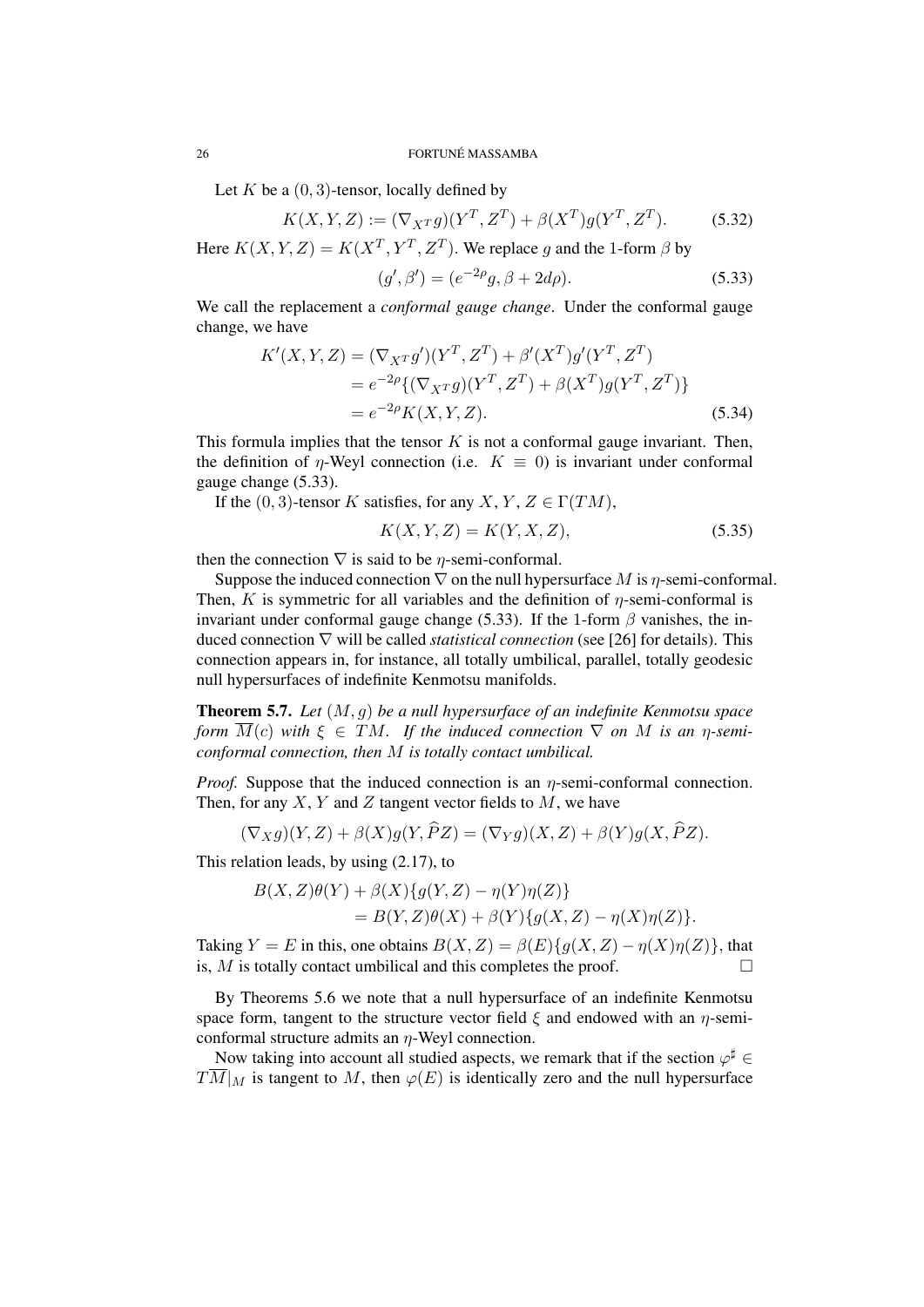#### 26 **FORTUNE MASSAMBA**

Let  $K$  be a  $(0, 3)$ -tensor, locally defined by

$$
K(X, Y, Z) := (\nabla_{X} T g)(Y^T, Z^T) + \beta(X^T)g(Y^T, Z^T). \tag{5.32}
$$

Here  $K(X, Y, Z) = K(X^T, Y^T, Z^T)$ . We replace *g* and the 1-form  $\beta$  by

$$
(g', \beta') = (e^{-2\rho}g, \beta + 2d\rho).
$$
 (5.33)

We call the replacement a *conformal gauge change*. Under the conformal gauge change, we have

$$
K'(X,Y,Z) = (\nabla_{X}Tg')(Y^T, Z^T) + \beta'(X^T)g'(Y^T, Z^T)
$$
  
=  $e^{-2\rho}\{(\nabla_{X}Tg)(Y^T, Z^T) + \beta(X^T)g(Y^T, Z^T)\}$   
=  $e^{-2\rho}K(X,Y,Z).$  (5.34)

This formula implies that the tensor *K* is not a conformal gauge invariant. Then, the definition of *η*-Weyl connection (i.e.  $K \equiv 0$ ) is invariant under conformal gauge change (5.33).

If the  $(0, 3)$ -tensor *K* satisfies, for any *X*, *Y*, *Z*  $\in \Gamma(TM)$ ,

$$
K(X, Y, Z) = K(Y, X, Z),
$$
\n(5.35)

then the connection  $\nabla$  is said to be *η*-semi-conformal.

Suppose the induced connection  $\nabla$  on the null hypersurface *M* is *η*-semi-conformal. Then, *K* is symmetric for all variables and the definition of  $\eta$ -semi-conformal is invariant under conformal gauge change (5.33). If the 1-form *β* vanishes, the induced connection *∇* will be called *statistical connection* (see [26] for details). This connection appears in, for instance, all totally umbilical, parallel, totally geodesic null hypersurfaces of indefinite Kenmotsu manifolds.

Theorem 5.7. *Let* (*M, g*) *be a null hypersurface of an indefinite Kenmotsu space form*  $\overline{M}(c)$  *with*  $\xi \in TM$ *. If the induced connection*  $\nabla$  *on M is an η-semiconformal connection, then M is totally contact umbilical.*

*Proof.* Suppose that the induced connection is an *η*-semi-conformal connection. Then, for any *X*, *Y* and *Z* tangent vector fields to *M*, we have

$$
(\nabla_X g)(Y,Z) + \beta(X)g(Y,\overline{P}Z) = (\nabla_Y g)(X,Z) + \beta(Y)g(X,\overline{P}Z).
$$

This relation leads, by using (2.17), to

$$
B(X,Z)\theta(Y) + \beta(X)\{g(Y,Z) - \eta(Y)\eta(Z)\}
$$
  
= 
$$
B(Y,Z)\theta(X) + \beta(Y)\{g(X,Z) - \eta(X)\eta(Z)\}.
$$

Taking  $Y = E$  in this, one obtains  $B(X, Z) = \beta(E)\{g(X, Z) - \eta(X)\eta(Z)\}\$ , that is, *M* is totally contact umbilical and this completes the proof.

By Theorems 5.6 we note that a null hypersurface of an indefinite Kenmotsu space form, tangent to the structure vector field *ξ* and endowed with an *η*-semiconformal structure admits an *η*-Weyl connection.

Now taking into account all studied aspects, we remark that if the section  $\varphi^{\sharp}$  ∈  $T\overline{M}|_M$  is tangent to *M*, then  $\varphi(E)$  is identically zero and the null hypersurface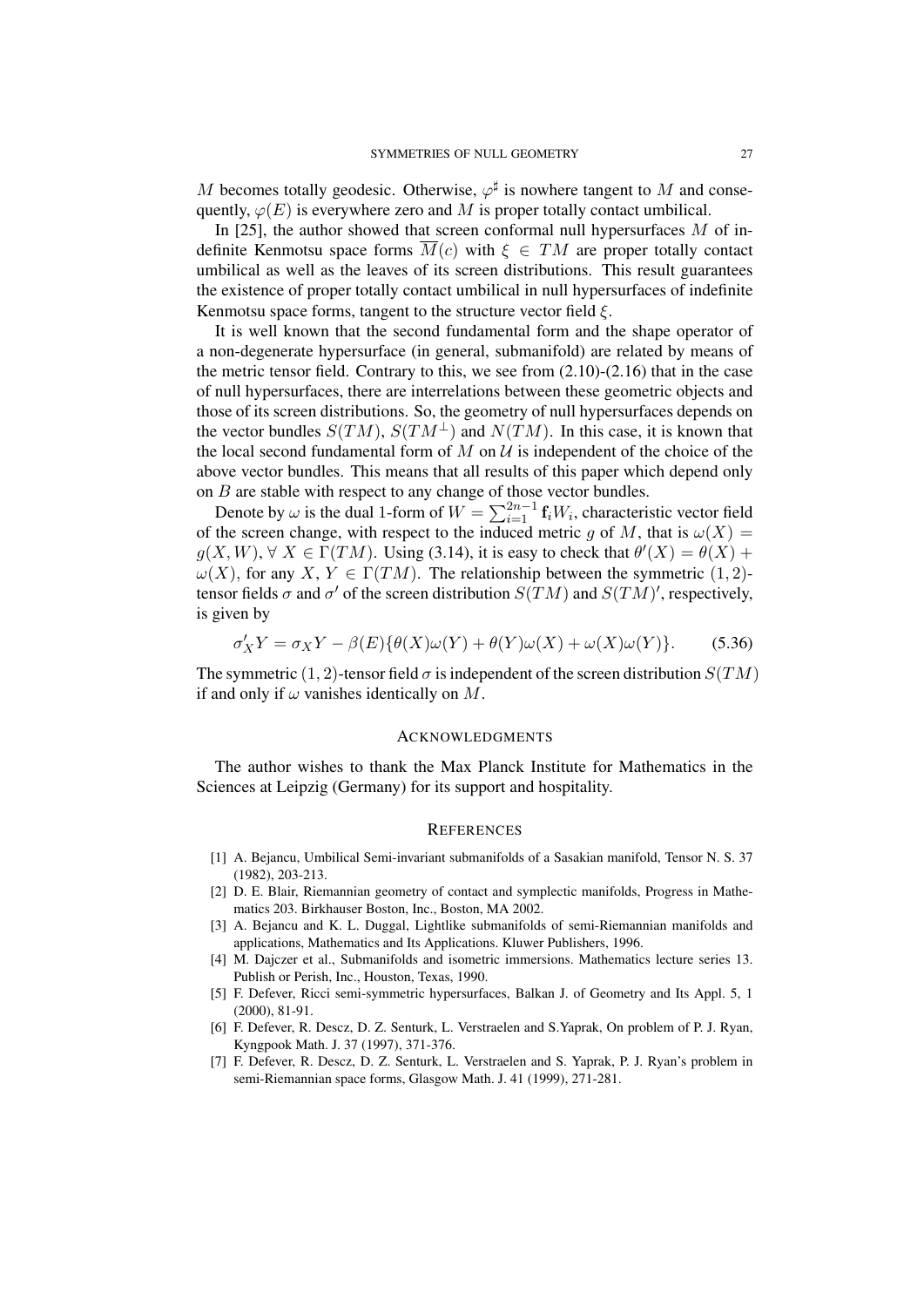*M* becomes totally geodesic. Otherwise,  $\varphi^{\sharp}$  is nowhere tangent to *M* and consequently,  $\varphi(E)$  is everywhere zero and *M* is proper totally contact umbilical.

In [25], the author showed that screen conformal null hypersurfaces *M* of indefinite Kenmotsu space forms  $\overline{M}(c)$  with  $\xi \in TM$  are proper totally contact umbilical as well as the leaves of its screen distributions. This result guarantees the existence of proper totally contact umbilical in null hypersurfaces of indefinite Kenmotsu space forms, tangent to the structure vector field *ξ*.

It is well known that the second fundamental form and the shape operator of a non-degenerate hypersurface (in general, submanifold) are related by means of the metric tensor field. Contrary to this, we see from  $(2.10)-(2.16)$  that in the case of null hypersurfaces, there are interrelations between these geometric objects and those of its screen distributions. So, the geometry of null hypersurfaces depends on the vector bundles  $S(TM)$ ,  $S(TM^{\perp})$  and  $N(TM)$ . In this case, it is known that the local second fundamental form of  $M$  on  $U$  is independent of the choice of the above vector bundles. This means that all results of this paper which depend only on *B* are stable with respect to any change of those vector bundles.

Denote by  $\omega$  is the dual 1-form of  $W = \sum_{i=1}^{2n-1} \mathbf{f}_i W_i$ , characteristic vector field of the screen change, with respect to the induced metric *g* of *M*, that is  $\omega(X)$  =  $g(X, W)$ ,  $\forall X \in \Gamma(TM)$ . Using (3.14), it is easy to check that  $\theta'(X) = \theta(X) + \theta(X)$  $ω(X)$ , for any *X*, *Y* ∈ Γ(*TM*). The relationship between the symmetric (1, 2)tensor fields  $\sigma$  and  $\sigma'$  of the screen distribution  $S(TM)$  and  $S(TM)'$ , respectively, is given by

$$
\sigma'_X Y = \sigma_X Y - \beta(E)\{\theta(X)\omega(Y) + \theta(Y)\omega(X) + \omega(X)\omega(Y)\}.
$$
 (5.36)

The symmetric (1, 2)-tensor field  $\sigma$  is independent of the screen distribution  $S(TM)$ if and only if  $\omega$  vanishes identically on  $M$ .

## ACKNOWLEDGMENTS

The author wishes to thank the Max Planck Institute for Mathematics in the Sciences at Leipzig (Germany) for its support and hospitality.

#### **REFERENCES**

- [1] A. Bejancu, Umbilical Semi-invariant submanifolds of a Sasakian manifold, Tensor N. S. 37 (1982), 203-213.
- [2] D. E. Blair, Riemannian geometry of contact and symplectic manifolds, Progress in Mathematics 203. Birkhauser Boston, Inc., Boston, MA 2002.
- [3] A. Bejancu and K. L. Duggal, Lightlike submanifolds of semi-Riemannian manifolds and applications, Mathematics and Its Applications. Kluwer Publishers, 1996.
- [4] M. Dajczer et al., Submanifolds and isometric immersions. Mathematics lecture series 13. Publish or Perish, Inc., Houston, Texas, 1990.
- [5] F. Defever, Ricci semi-symmetric hypersurfaces, Balkan J. of Geometry and Its Appl. 5, 1 (2000), 81-91.
- [6] F. Defever, R. Descz, D. Z. Senturk, L. Verstraelen and S.Yaprak, On problem of P. J. Ryan, Kyngpook Math. J. 37 (1997), 371-376.
- [7] F. Defever, R. Descz, D. Z. Senturk, L. Verstraelen and S. Yaprak, P. J. Ryan's problem in semi-Riemannian space forms, Glasgow Math. J. 41 (1999), 271-281.